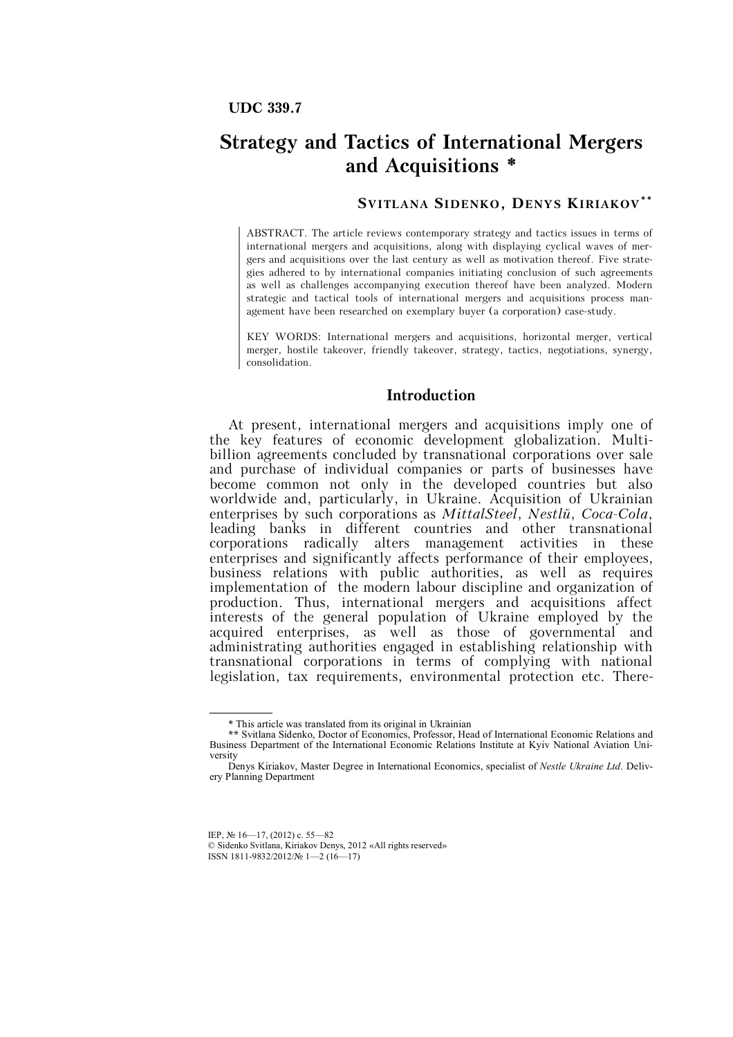# **Strategy and Tactics of International Mergers and Acquisitions \***

## **SV ITLANA SIDENKO, DENYS KIRIAKOV\* \***

ABSTRACT. The article reviews contemporary strategy and tactics issues in terms of international mergers and acquisitions, along with displaying cyclical waves of mergers and acquisitions over the last century as well as motivation thereof. Five strategies adhered to by international companies initiating conclusion of such agreements as well as challenges accompanying execution thereof have been analyzed. Modern strategic and tactical tools of international mergers and acquisitions process management have been researched on exemplary buyer (a corporation) case-study.

KEY WORDS: International mergers and acquisitions, horizontal merger, vertical merger, hostile takeover, friendly takeover, strategy, tactics, negotiations, synergy, consolidation.

### **Introduction**

At present, international mergers and acquisitions imply one of the key features of economic development globalization. Multibillion agreements concluded by transnational corporations over sale and purchase of individual companies or parts of businesses have become common not only in the developed countries but also worldwide and, particularly, in Ukraine. Acquisition of Ukrainian enterprises by such corporations as *MittalSteel*, *Nestlé*, *Coca-Cola*, leading banks in different countries and other transnational corporations radically alters management activities in these enterprises and significantly affects performance of their employees, business relations with public authorities, as well as requires implementation of the modern labour discipline and organization of production. Thus, international mergers and acquisitions affect interests of the general population of Ukraine employed by the acquired enterprises, as well as those of governmental and administrating authorities engaged in establishing relationship with transnational corporations in terms of complying with national legislation, tax requirements, environmental protection etc. There-

-

ISSN 1811-9832/2012/№ 1—2 (16—17)

<sup>\*</sup> This article was translated from its original in Ukrainian

**<sup>\*\*</sup>** Svitlana Sidenko, Doctor of Economics, Professor, Head of International Economic Relations and Business Department of the International Economic Relations Institute at Kyiv National Aviation University

Denys Kiriakov, Master Degree in International Economics, specialist of *Nestle Ukraine Ltd.* Delivery Planning Department

IEP, № 16—17, (2012) с. 55—82

<sup>©</sup> Sidenko Svitlana, Kiriakov Denys, 2012 «All rights reserved»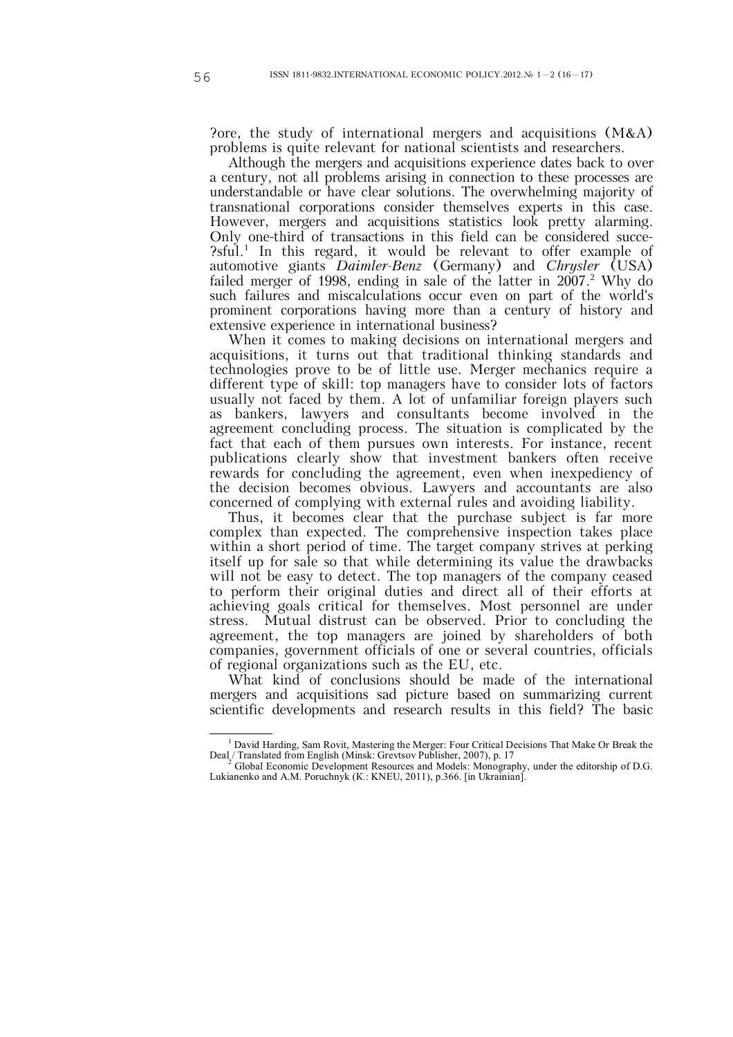?ore, the study of international mergers and acquisitions (M&A) problems is quite relevant for national scientists and researchers.

Although the mergers and acquisitions experience dates back to over a century, not all problems arising in connection to these processes are understandable or have clear solutions. The overwhelming majority of transnational corporations consider themselves experts in this case. However, mergers and acquisitions statistics look pretty alarming. Only one-third of transactions in this field can be considered succe- ?sful.<sup>1</sup> In this regard, it would be relevant to offer example of automotive giants *Daimler-Benz* (Germany) and *Chrysler* (USA) failed merger of 1998, ending in sale of the latter in  $2007$ .<sup>2</sup> Why do such failures and miscalculations occur even on part of the world's prominent corporations having more than a century of history and extensive experience in international business?

When it comes to making decisions on international mergers and acquisitions, it turns out that traditional thinking standards and technologies prove to be of little use. Merger mechanics require a different type of skill: top managers have to consider lots of factors usually not faced by them. A lot of unfamiliar foreign players such as bankers, lawyers and consultants become involved in the agreement concluding process. The situation is complicated by the fact that each of them pursues own interests. For instance, recent publications clearly show that investment bankers often receive rewards for concluding the agreement, even when inexpediency of the decision becomes obvious. Lawyers and accountants are also concerned of complying with external rules and avoiding liability.

Thus, it becomes clear that the purchase subject is far more complex than expected. The comprehensive inspection takes place within a short period of time. The target company strives at perking itself up for sale so that while determining its value the drawbacks will not be easy to detect. The top managers of the company ceased to perform their original duties and direct all of their efforts at achieving goals critical for themselves. Most personnel are under stress. Mutual distrust can be observed. Prior to concluding the agreement, the top managers are joined by shareholders of both companies, government officials of one or several countries, officials of regional organizations such as the EU, etc.

What kind of conclusions should be made of the international mergers and acquisitions sad picture based on summarizing current scientific developments and research results in this field? The basic

<sup>1</sup> David Harding, Sam Rovit, Mastering the Merger: Four Critical Decisions That Make Or Break the Deal / Translated from English (Minsk: Grevtsov Publisher, 2007), p. 17

<sup>2</sup> Global Economic Development Resources and Models: Monography, under the editorship of D.G. Lukianenko and A.M. Poruchnyk (К.: KNEU, 2011), p.366. [in Ukrainian].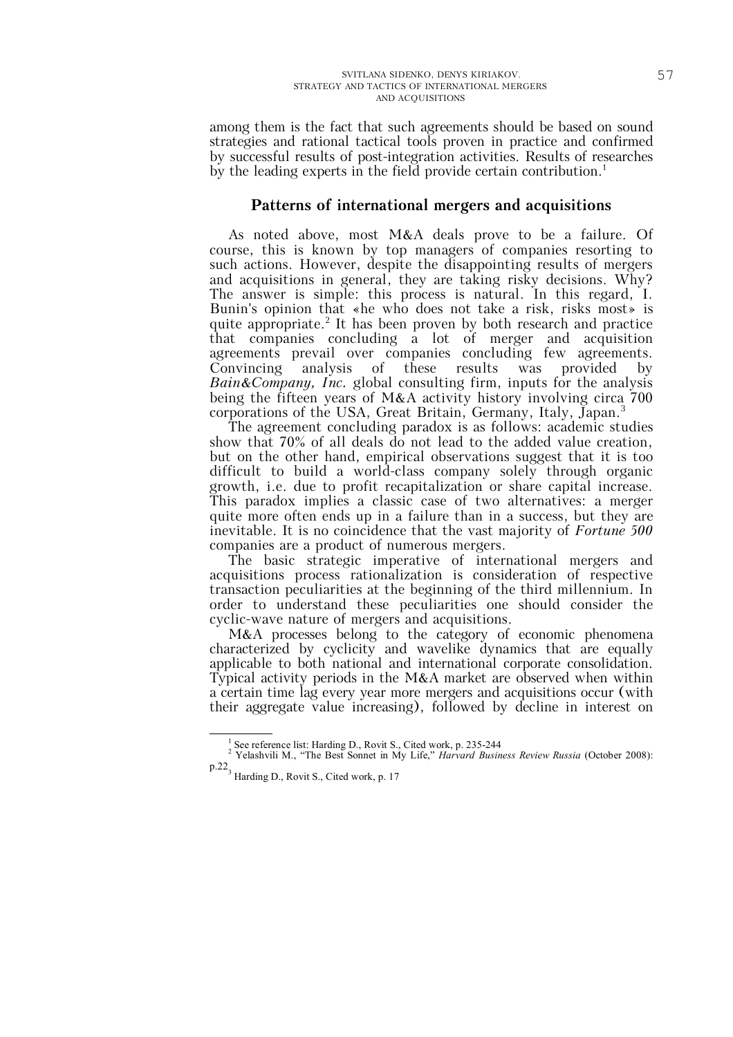among them is the fact that such agreements should be based on sound strategies and rational tactical tools proven in practice and confirmed by successful results of post-integration activities. Results of researches by the leading experts in the field provide certain contribution.<sup>1</sup>

## **Patterns of international mergers and acquisitions**

As noted above, most M&A deals prove to be a failure. Of course, this is known by top managers of companies resorting to such actions. However, despite the disappointing results of mergers and acquisitions in general, they are taking risky decisions. Why? The answer is simple: this process is natural. In this regard, I. Bunin's opinion that «he who does not take a risk, risks most» is quite appropriate.<sup>2</sup> It has been proven by both research and practice that companies concluding a lot of merger and acquisition agreements prevail over companies concluding few agreements. Convincing analysis of these results was provided by *Bain&Company, Inc.* global consulting firm, inputs for the analysis being the fifteen years of M&A activity history involving circa 700 corporations of the USA, Great Britain, Germany, Italy, Japan.<sup>3</sup>

The agreement concluding paradox is as follows: academic studies show that 70% of all deals do not lead to the added value creation, but on the other hand, empirical observations suggest that it is too difficult to build a world-class company solely through organic growth, i.e. due to profit recapitalization or share capital increase. This paradox implies a classic case of two alternatives: a merger quite more often ends up in a failure than in a success, but they are inevitable. It is no coincidence that the vast majority of *Fortune 500*  companies are a product of numerous mergers.

The basic strategic imperative of international mergers and acquisitions process rationalization is consideration of respective transaction peculiarities at the beginning of the third millennium. In order to understand these peculiarities one should consider the cyclic-wave nature of mergers and acquisitions.

M&A processes belong to the category of economic phenomena characterized by cyclicity and wavelike dynamics that are equally applicable to both national and international corporate consolidation. Typical activity periods in the M&A market are observed when within a certain time lag every year more mergers and acquisitions occur (with their aggregate value increasing), followed by decline in interest on

<sup>1</sup> See reference list: Harding D., Rovit S., Cited work, p. 235-244 <sup>2</sup> Yelashvili M., "The Best Sonnet in My Life," *Harvard Business Review Russia* (October 2008): p.22<sub>3</sub> Harding D., Rovit S., Cited work, p. 17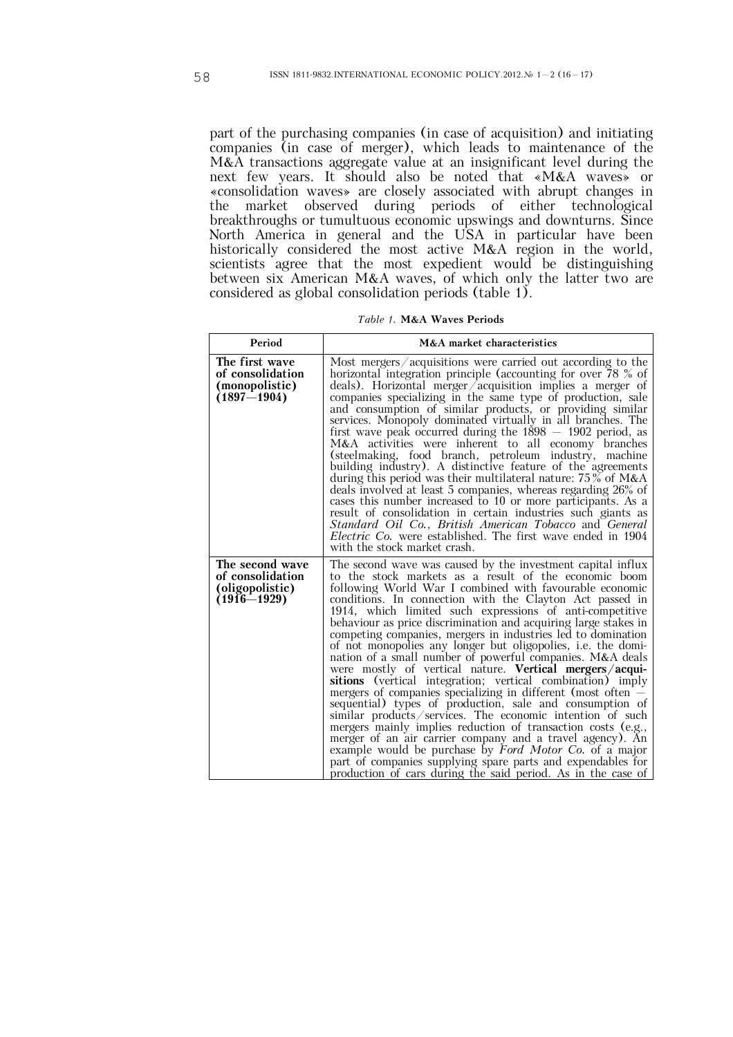part of the purchasing companies (in case of acquisition) and initiating companies (in case of merger), which leads to maintenance of the M&A transactions aggregate value at an insignificant level during the next few years. It should also be noted that «M&A waves» or «consolidation waves» are closely associated with abrupt changes in the market observed during periods of either technological breakthroughs or tumultuous economic upswings and downturns. Since North America in general and the USA in particular have been historically considered the most active M&A region in the world, scientists agree that the most expedient would be distinguishing between six American M&A waves, of which only the latter two are considered as global consolidation periods (table 1).

| Table 1. M&A Waves Periods |  |
|----------------------------|--|
|----------------------------|--|

| Period                                                                    | M&A market characteristics                                                                                                                                                                                                                                                                                                                                                                                                                                                                                                                                                                                                                                                                                                                                                                                                                                                                                                                                                                                                                                                                                                                                                                                        |
|---------------------------------------------------------------------------|-------------------------------------------------------------------------------------------------------------------------------------------------------------------------------------------------------------------------------------------------------------------------------------------------------------------------------------------------------------------------------------------------------------------------------------------------------------------------------------------------------------------------------------------------------------------------------------------------------------------------------------------------------------------------------------------------------------------------------------------------------------------------------------------------------------------------------------------------------------------------------------------------------------------------------------------------------------------------------------------------------------------------------------------------------------------------------------------------------------------------------------------------------------------------------------------------------------------|
| The first wave<br>of consolidation<br>(monopolistic)<br>$(1897 - 1904)$   | Most mergers/acquisitions were carried out according to the<br>horizontal integration principle (accounting for over 78 % of<br>deals). Horizontal merger acquisition implies a merger of<br>companies specializing in the same type of production, sale<br>and consumption of similar products, or providing similar<br>services. Monopoly dominated virtually in all branches. The<br>first wave peak occurred during the $1898 - 1902$ period, as<br>M&A activities were inherent to all economy<br>branches<br>(steelmaking, food branch, petroleum industry, machine<br>building industry). A distinctive feature of the agreements<br>during this period was their multilateral nature: $75\%$ of M&A<br>deals involved at least 5 companies, whereas regarding 26% of<br>cases this number increased to 10 or more participants. As a<br>result of consolidation in certain industries such giants as<br>Standard Oil Co., British American Tobacco and General<br>Electric Co. were established. The first wave ended in 1904<br>with the stock market crash.                                                                                                                                             |
| The second wave<br>of consolidation<br>(oligopolistic)<br>$(1916 - 1929)$ | The second wave was caused by the investment capital influx<br>to the stock markets as a result of the economic boom<br>following World War I combined with favourable economic<br>conditions. In connection with the Clayton Act passed in<br>1914, which limited such expressions of anti-competitive<br>behaviour as price discrimination and acquiring large stakes in<br>competing companies, mergers in industries led to domination<br>of not monopolies any longer but oligopolies, i.e. the domi-<br>nation of a small number of powerful companies. M&A deals<br>were mostly of vertical nature. Vertical mergers/acqui-<br>sitions (vertical integration; vertical combination) imply<br>mergers of companies specializing in different (most often $-$<br>sequential) types of production, sale and consumption of<br>similar products/services. The economic intention of such<br>mergers mainly implies reduction of transaction costs (e.g.,<br>merger of an air carrier company and a travel agency). An<br>example would be purchase by Ford Motor Co. of a major<br>part of companies supplying spare parts and expendables for<br>production of cars during the said period. As in the case of |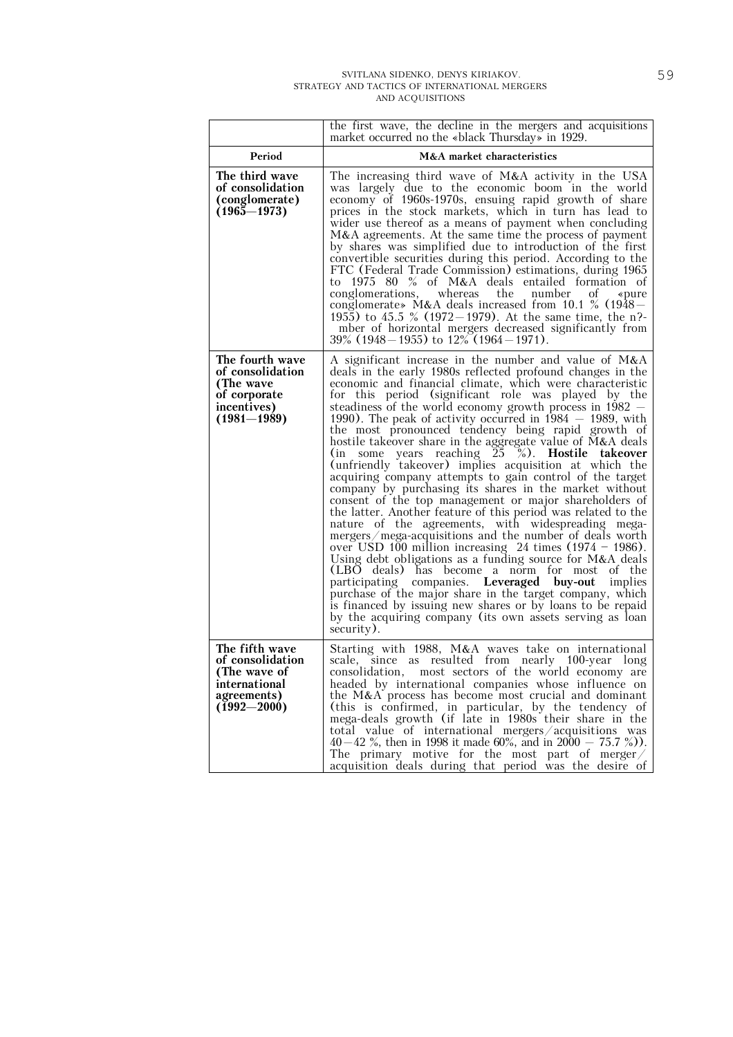|                                                                                                       | the first wave, the decline in the mergers and acquisitions<br>market occurred no the «black Thursday» in 1929.                                                                                                                                                                                                                                                                                                                                                                                                                                                                                                                                                                                                                                                                                                                                                                                                                                                                                                                                                                                                                                                                                                                                                                                                                                                                                                                     |  |  |
|-------------------------------------------------------------------------------------------------------|-------------------------------------------------------------------------------------------------------------------------------------------------------------------------------------------------------------------------------------------------------------------------------------------------------------------------------------------------------------------------------------------------------------------------------------------------------------------------------------------------------------------------------------------------------------------------------------------------------------------------------------------------------------------------------------------------------------------------------------------------------------------------------------------------------------------------------------------------------------------------------------------------------------------------------------------------------------------------------------------------------------------------------------------------------------------------------------------------------------------------------------------------------------------------------------------------------------------------------------------------------------------------------------------------------------------------------------------------------------------------------------------------------------------------------------|--|--|
| Period                                                                                                | M&A market characteristics                                                                                                                                                                                                                                                                                                                                                                                                                                                                                                                                                                                                                                                                                                                                                                                                                                                                                                                                                                                                                                                                                                                                                                                                                                                                                                                                                                                                          |  |  |
| The third wave<br>of consolidation<br>(conglomerate)<br>$(1965 - 1973)$                               | The increasing third wave of M&A activity in the USA<br>was largely due to the economic boom in the world<br>economy of 1960s-1970s, ensuing rapid growth of share<br>prices in the stock markets, which in turn has lead to<br>wider use thereof as a means of payment when concluding<br>M&A agreements. At the same time the process of payment<br>by shares was simplified due to introduction of the first<br>convertible securities during this period. According to the<br>FTC (Federal Trade Commission) estimations, during 1965<br>to 1975 80 % of M&A deals entailed formation of<br>conglomerations, whereas the number<br>οf<br>«pure<br>conglomerate» M&A deals increased from 10.1 % (1948 -<br>1955) to 45.5 % (1972–1979). At the same time, the n?-<br>mber of horizontal mergers decreased significantly from<br>$39\%$ (1948 – 1955) to $12\%$ (1964 – 1971).                                                                                                                                                                                                                                                                                                                                                                                                                                                                                                                                                   |  |  |
| The fourth wave<br>of consolidation<br>(The wave<br>of corporate<br>incentives)<br>$(1981 - 1989)$    | A significant increase in the number and value of $M&A$<br>deals in the early 1980s reflected profound changes in the<br>economic and financial climate, which were characteristic<br>for this period (significant role was played by the<br>steadiness of the world economy growth process in $1982 -$<br>1990). The peak of activity occurred in $1984 - 1989$ , with<br>the most pronounced tendency being rapid growth of<br>hostile takeover share in the aggregate value of M&A deals<br>some years reaching $25\degree$ %). Hostile takeover<br>(in<br>(unfriendly takeover) implies acquisition at which the<br>acquiring company attempts to gain control of the target<br>company by purchasing its shares in the market without<br>consent of the top management or major shareholders of<br>the latter. Another feature of this period was related to the<br>nature of the agreements, with widespreading mega-<br>mergers/mega-acquisitions and the number of deals worth<br>over USD 100 million increasing 24 times $(1974 - 1986)$ .<br>Using debt obligations as a funding source for $M&A$ deals<br>(LBO deals) has become a norm for most<br>of the<br>participating companies. Leveraged buy-out<br>implies<br>purchase of the major share in the target company, which<br>is financed by issuing new shares or by loans to be repaid<br>by the acquiring company (its own assets serving as loan<br>security). |  |  |
| The fifth wave<br>of consolidation<br>(The wave of<br>international<br>agreements)<br>$(1992 - 2000)$ | Starting with 1988, M&A waves take on international<br>scale, since as resulted from nearly 100-year long<br>consolidation, most sectors of the world economy are<br>headed by international companies whose influence on<br>the M&A process has become most crucial and dominant<br>(this is confirmed, in particular, by the tendency of<br>mega-deals growth (if late in 1980s their share in the<br>total value of international mergers/acquisitions was<br>40–42 %, then in 1998 it made 60%, and in $2000 - 75.7$ %)).<br>The primary motive for the most part of merger/<br>acquisition deals during that period was the desire of                                                                                                                                                                                                                                                                                                                                                                                                                                                                                                                                                                                                                                                                                                                                                                                          |  |  |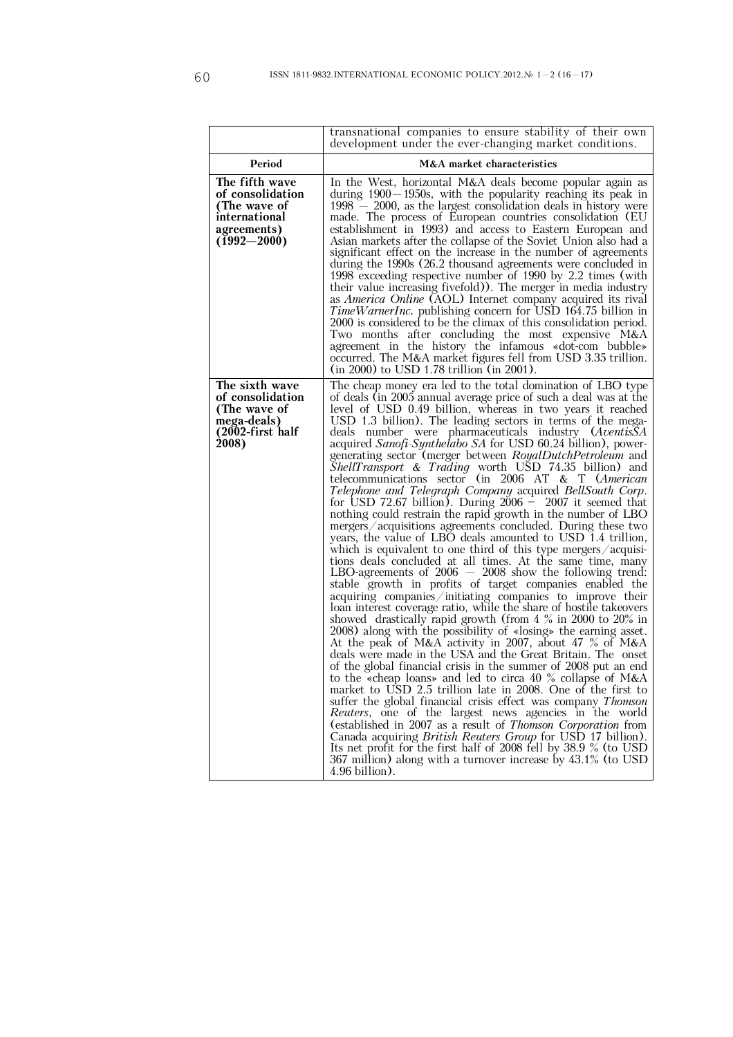|                                                                                                       | transnational companies to ensure stability of their own<br>development under the ever-changing market conditions.                                                                                                                                                                                                                                                                                                                                                                                                                                                                                                                                                                                                                                                                                                                                                                                                                                                                                                                                                                                                                                                                                                                                                                                                                                                                                                                                                                                                                                                                                                                                                                                                                                                                                                                                                                                                                                                                                                                                                                                                                                                                                                   |
|-------------------------------------------------------------------------------------------------------|----------------------------------------------------------------------------------------------------------------------------------------------------------------------------------------------------------------------------------------------------------------------------------------------------------------------------------------------------------------------------------------------------------------------------------------------------------------------------------------------------------------------------------------------------------------------------------------------------------------------------------------------------------------------------------------------------------------------------------------------------------------------------------------------------------------------------------------------------------------------------------------------------------------------------------------------------------------------------------------------------------------------------------------------------------------------------------------------------------------------------------------------------------------------------------------------------------------------------------------------------------------------------------------------------------------------------------------------------------------------------------------------------------------------------------------------------------------------------------------------------------------------------------------------------------------------------------------------------------------------------------------------------------------------------------------------------------------------------------------------------------------------------------------------------------------------------------------------------------------------------------------------------------------------------------------------------------------------------------------------------------------------------------------------------------------------------------------------------------------------------------------------------------------------------------------------------------------------|
| Period                                                                                                | M&A market characteristics                                                                                                                                                                                                                                                                                                                                                                                                                                                                                                                                                                                                                                                                                                                                                                                                                                                                                                                                                                                                                                                                                                                                                                                                                                                                                                                                                                                                                                                                                                                                                                                                                                                                                                                                                                                                                                                                                                                                                                                                                                                                                                                                                                                           |
| The fifth wave<br>of consolidation<br>(The wave of<br>international<br>agreements)<br>$(1992 - 2000)$ | In the West, horizontal M&A deals become popular again as<br>during 1900 – 1950s, with the popularity reaching its peak in<br>$1998 - 2000$ , as the largest consolidation deals in history were<br>made. The process of European countries consolidation (EU<br>establishment in 1993) and access to Eastern European and<br>Asian markets after the collapse of the Soviet Union also had a<br>significant effect on the increase in the number of agreements<br>during the 1990s (26.2 thousand agreements were concluded in<br>1998 exceeding respective number of 1990 by 2.2 times (with<br>their value increasing fivefold). The merger in media industry<br>as <i>America Online</i> (AOL) Internet company acquired its rival<br>TimeWarnerInc. publishing concern for USD 164.75 billion in<br>2000 is considered to be the climax of this consolidation period.<br>Two months after concluding the most expensive M&A<br>agreement in the history the infamous «dot-com bubble»<br>occurred. The M&A market figures fell from USD 3.35 trillion.<br>(in 2000) to USD 1.78 trillion (in 2001).                                                                                                                                                                                                                                                                                                                                                                                                                                                                                                                                                                                                                                                                                                                                                                                                                                                                                                                                                                                                                                                                                                             |
| The sixth wave<br>of consolidation<br>(The wave of<br>mega-deals)<br>(2002-first half<br>2008)        | The cheap money era led to the total domination of LBO type<br>of deals (in 2005 annual average price of such a deal was at the<br>level of USD 0.49 billion, whereas in two years it reached<br>USD 1.3 billion). The leading sectors in terms of the mega-<br>deals number were pharmaceuticals industry ( <i>AventisSA</i><br>acquired Sanofi-Synthelabo SA for USD 60.24 billion), power-<br>generating sector (merger between RoyalDutchPetroleum and<br>ShellTransport & Trading worth USD 74.35 billion) and<br>telecommunications sector (in 2006 AT $&$ T ( <i>American</i><br>Telephone and Telegraph Company acquired BellSouth Corp.<br>for USD 72.67 billion). During $2006 - 2007$ it seemed that<br>nothing could restrain the rapid growth in the number of LBO<br>mergers/ $\alpha$ acquisitions agreements concluded. During these two<br>years, the value of LBO deals amounted to USD 1.4 trillion,<br>which is equivalent to one third of this type mergers $/$ acquisi-<br>tions deals concluded at all times. At the same time, many<br>LBO-agreements of $2006 - 2008$ show the following trend:<br>stable growth in profits of target companies enabled the<br>acquiring companies/initiating companies to improve their<br>loan interest coverage ratio, while the share of hostile takeovers<br>showed drastically rapid growth (from 4 % in 2000 to 20% in<br>$2008$ ) along with the possibility of «losing» the earning asset.<br>At the peak of M&A activity in 2007, about 47 % of M&A<br>deals were made in the USA and the Great Britain. The onset<br>of the global financial crisis in the summer of 2008 put an end<br>to the «cheap loans» and led to circa 40 % collapse of M&A<br>market to USD 2.5 trillion late in 2008. One of the first to<br>suffer the global financial crisis effect was company <i>Thomson</i><br>Reuters, one of the largest news agencies in the world<br>(established in 2007 as a result of Thomson Corporation from<br>Canada acquiring <i>British Reuters Group</i> for USD 17 billion).<br>Its net profit for the first half of 2008 fell by 38.9 % (to USD<br>367 million) along with a turnover increase by 43.1% (to USD<br>4.96 billion). |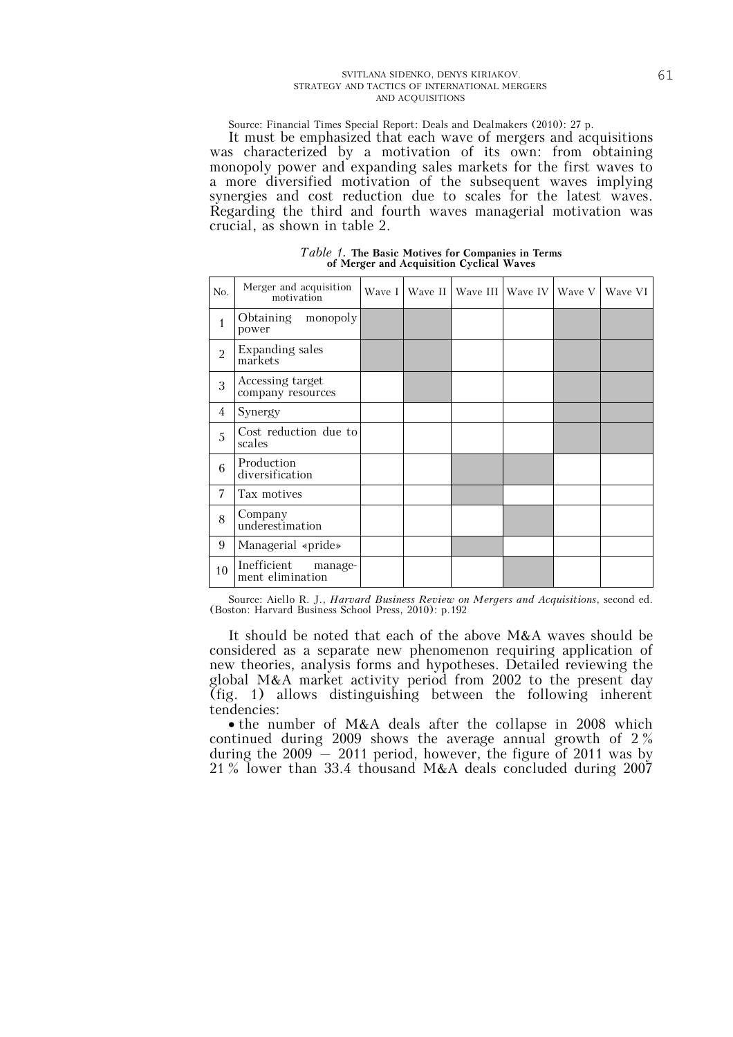Source: Financial Times Special Report: Deals and Dealmakers (2010): 27 p.

It must be emphasized that each wave of mergers and acquisitions was characterized by a motivation of its own: from obtaining monopoly power and expanding sales markets for the first waves to a more diversified motivation of the subsequent waves implying synergies and cost reduction due to scales for the latest waves. Regarding the third and fourth waves managerial motivation was crucial, as shown in table 2.

*Table 1.* **The Basic Motives for Companies in Terms of Merger and Acquisition Cyclical Waves** 

| No.                                        | Merger and acquisition<br>motivation       | Wave I | Wave II | Wave III Wave IV | Wave V | Wave VI |
|--------------------------------------------|--------------------------------------------|--------|---------|------------------|--------|---------|
| $\mathbf{1}$                               | monopoly<br>Obtaining<br>power             |        |         |                  |        |         |
| $\overline{2}$                             | Expanding sales<br>markets                 |        |         |                  |        |         |
| Accessing target<br>3<br>company resources |                                            |        |         |                  |        |         |
| 4                                          | Synergy                                    |        |         |                  |        |         |
| 5                                          | Cost reduction due to<br>scales            |        |         |                  |        |         |
| 6                                          | Production<br>diversification              |        |         |                  |        |         |
| 7                                          | Tax motives                                |        |         |                  |        |         |
| 8                                          | Company<br>underestimation                 |        |         |                  |        |         |
| 9                                          | Managerial «pride»                         |        |         |                  |        |         |
| 10                                         | Inefficient<br>manage-<br>ment elimination |        |         |                  |        |         |

Source: Aiello R. J., *Harvard Business Review on Mergers and Acquisitions*, second ed. (Boston: Harvard Business School Press, 2010): p.192

It should be noted that each of the above M&A waves should be considered as a separate new phenomenon requiring application of new theories, analysis forms and hypotheses. Detailed reviewing the global M&A market activity period from 2002 to the present day (fig. 1) allows distinguishing between the following inherent tendencies:

• the number of M&A deals after the collapse in 2008 which continued during 2009 shows the average annual growth of 2 % during the 2009 — 2011 period, however, the figure of 2011 was by 21 % lower than 33.4 thousand M&A deals concluded during 2007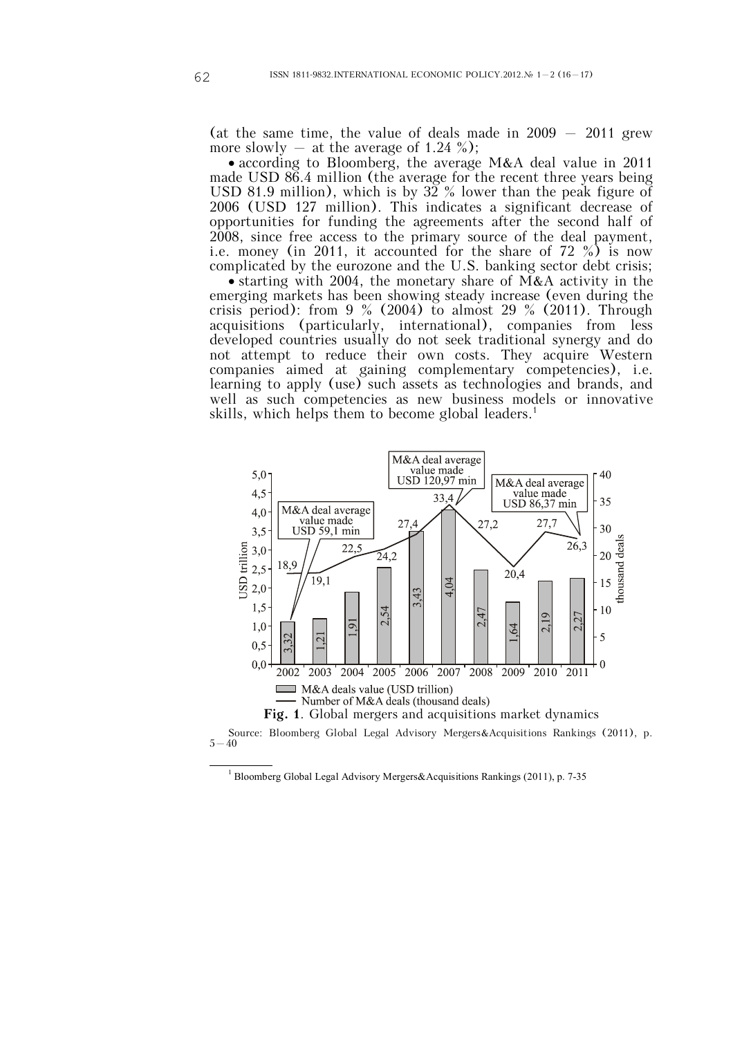(at the same time, the value of deals made in  $2009 - 2011$  grew more slowly  $-$  at the average of 1.24 %);

 according to Bloomberg, the average M&A deal value in 2011 made USD 86.4 million (the average for the recent three years being USD 81.9 million), which is by  $32\%$  lower than the peak figure of 2006 (USD 127 million). This indicates a significant decrease of opportunities for funding the agreements after the second half of 2008, since free access to the primary source of the deal payment, i.e. money (in 2011, it accounted for the share of 72 %) is now complicated by the eurozone and the U.S. banking sector debt crisis;

 starting with 2004, the monetary share of M&A activity in the emerging markets has been showing steady increase (even during the crisis period): from  $9\%$  (2004) to almost 29 % (2011). Through acquisitions (particularly, international), companies from less developed countries usually do not seek traditional synergy and do not attempt to reduce their own costs. They acquire Western companies aimed at gaining complementary competencies), i.e. learning to apply (use) such assets as technologies and brands, and well as such competencies as new business models or innovative skills, which helps them to become global leaders.<sup>1</sup>



Source: Bloomberg Global Legal Advisory Mergers&Acquisitions Rankings (2011), p.  $5 - 40$ 

<sup>&</sup>lt;sup>1</sup> Bloomberg Global Legal Advisory Mergers&Acquisitions Rankings (2011), p. 7-35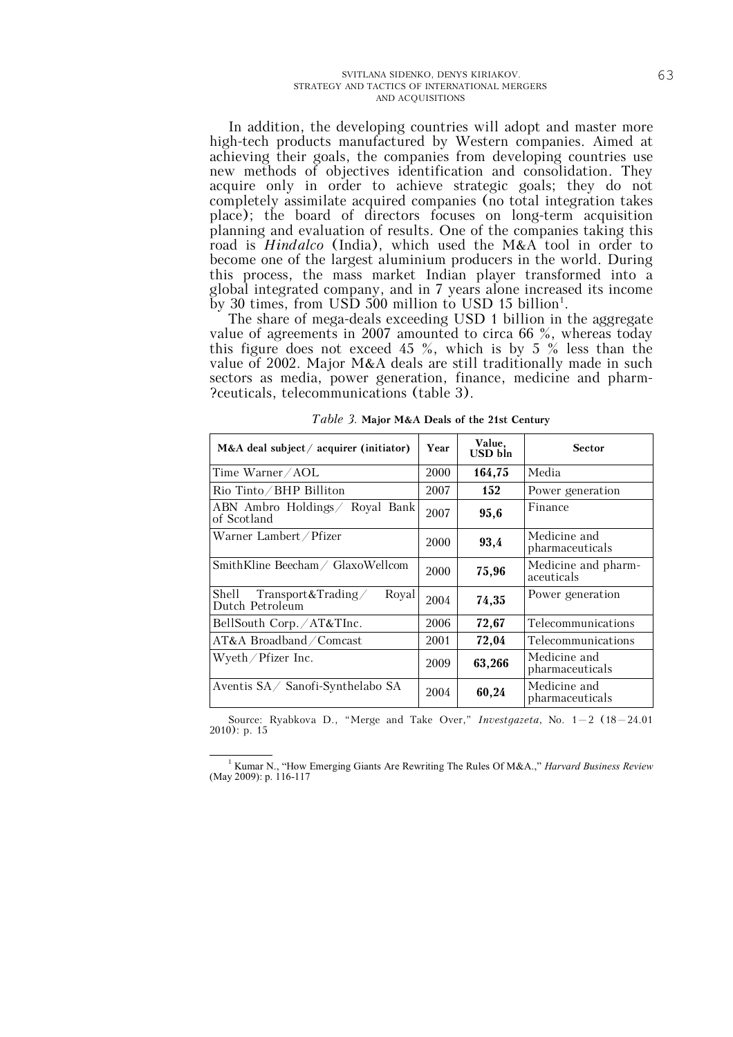In addition, the developing countries will adopt and master more high-tech products manufactured by Western companies. Aimed at achieving their goals, the companies from developing countries use new methods of objectives identification and consolidation. They acquire only in order to achieve strategic goals; they do not completely assimilate acquired companies (no total integration takes place); the board of directors focuses on long-term acquisition planning and evaluation of results. One of the companies taking this road is *Hindalco* (India), which used the M&A tool in order to become one of the largest aluminium producers in the world. During this process, the mass market Indian player transformed into a global integrated company, and in 7 years alone increased its income by 30 times, from USD 500 million to USD 15 billion<sup>1</sup>.

The share of mega-deals exceeding USD 1 billion in the aggregate value of agreements in 2007 amounted to circa 66 %, whereas today this figure does not exceed 45 %, which is by 5 % less than the value of 2002. Major M&A deals are still traditionally made in such sectors as media, power generation, finance, medicine and pharm- ?ceuticals, telecommunications (table 3).

| $M&A$ deal subject / acquirer (initiator)               | Year | Value,<br>USD bln | <b>Sector</b>                     |
|---------------------------------------------------------|------|-------------------|-----------------------------------|
| Time Warner/AOL                                         | 2000 | 164,75            | Media                             |
| Rio Tinto/BHP Billiton                                  | 2007 | 152               | Power generation                  |
| ABN Ambro Holdings Royal Bank<br>of Scotland            | 2007 | 95.6              | Finance                           |
| Warner Lambert / Pfizer                                 | 2000 | 93,4              | Medicine and<br>pharmaceuticals   |
| SmithKline Beecham/ GlaxoWellcom                        | 2000 | 75,96             | Medicine and pharm-<br>aceuticals |
| Transport&Trading/<br>Royal<br>Shell<br>Dutch Petroleum | 2004 | 74,35             | Power generation                  |
| BellSouth Corp./AT&TInc.                                | 2006 | 72,67             | Telecommunications                |
| AT&A Broadband / Comcast                                | 2001 | 72,04             | Telecommunications                |
| Wyeth $/$ Pfizer Inc.                                   | 2009 | 63,266            | Medicine and<br>pharmaceuticals   |
| Aventis SA/ Sanofi-Synthelabo SA                        | 2004 | 60,24             | Medicine and<br>pharmaceuticals   |

*Table 3.* **Major M&A Deals of the 21st Century**

Source: Ryabkova D., "Merge and Take Over," *Investgazeta*, No. 1—2 (18—24.01 2010): p. 15

<sup>1</sup> Kumar N., "How Emerging Giants Are Rewriting The Rules Of M&A.," *Harvard Business Review* (May 2009): p. 116-117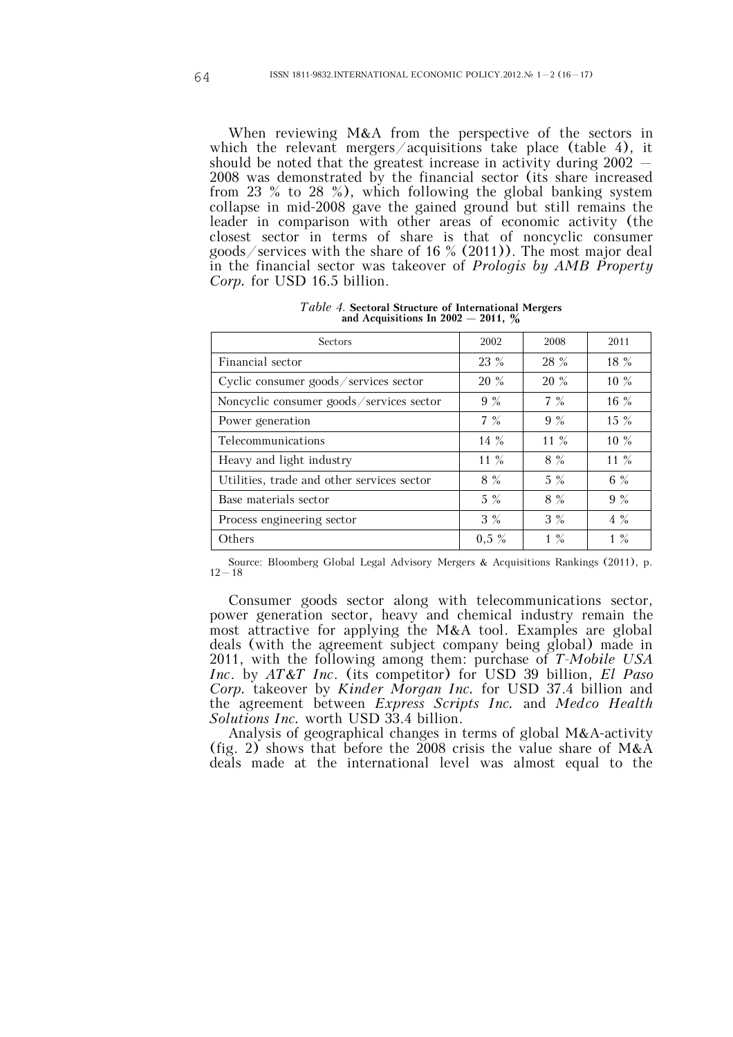When reviewing M&A from the perspective of the sectors in which the relevant mergers/acquisitions take place (table 4), it should be noted that the greatest increase in activity during 2002 — 2008 was demonstrated by the financial sector (its share increased from 23 % to 28 %), which following the global banking system collapse in mid-2008 gave the gained ground but still remains the leader in comparison with other areas of economic activity (the closest sector in terms of share is that of noncyclic consumer goods/services with the share of 16 % (2011)). The most major deal in the financial sector was takeover of *Prologis by AMB Property Corp.* for USD 16.5 billion.

*Table 4.* **Sectoral Structure of International Mergers and Acquisitions In 2002 — 2011, %**

| Sectors                                    | 2002    | 2008   | 2011    |
|--------------------------------------------|---------|--------|---------|
| Financial sector                           | 23 %    | 28 %   | $18 \%$ |
| Cyclic consumer goods/services sector      | 20 %    | 20 %   | $10\%$  |
| Noncyclic consumer goods/services sector   | 9%      | $7\%$  | 16 %    |
| Power generation                           | $7\%$   | $9\%$  | $15 \%$ |
| Telecommunications                         | $14\%$  | 11 $%$ | $10\%$  |
| Heavy and light industry                   | 11 $%$  | $8\%$  | 11 $%$  |
| Utilities, trade and other services sector | $8\%$   | $5\%$  | 6 $%$   |
| Base materials sector                      | $5\%$   | $8\%$  | $9 \%$  |
| Process engineering sector                 | $3\%$   | $3\%$  | $4\%$   |
| Others                                     | $0.5\%$ | $1\%$  | $1\%$   |

Source: Bloomberg Global Legal Advisory Mergers & Acquisitions Rankings (2011), p.  $12 - 18$ 

Consumer goods sector along with telecommunications sector, power generation sector, heavy and chemical industry remain the most attractive for applying the M&A tool. Examples are global deals (with the agreement subject company being global) made in 2011, with the following among them: purchase of *T-Mobile USA Inc*. by *AT&T Inc*. (its competitor) for USD 39 billion, *El Paso Corp.* takeover by *Kinder Morgan Inc.* for USD 37.4 billion and the agreement between *Express Scripts Inc.* and *Medco Health Solutions Inc.* worth USD 33.4 billion.

Analysis of geographical changes in terms of global M&A-activity (fig. 2) shows that before the 2008 crisis the value share of M&A deals made at the international level was almost equal to the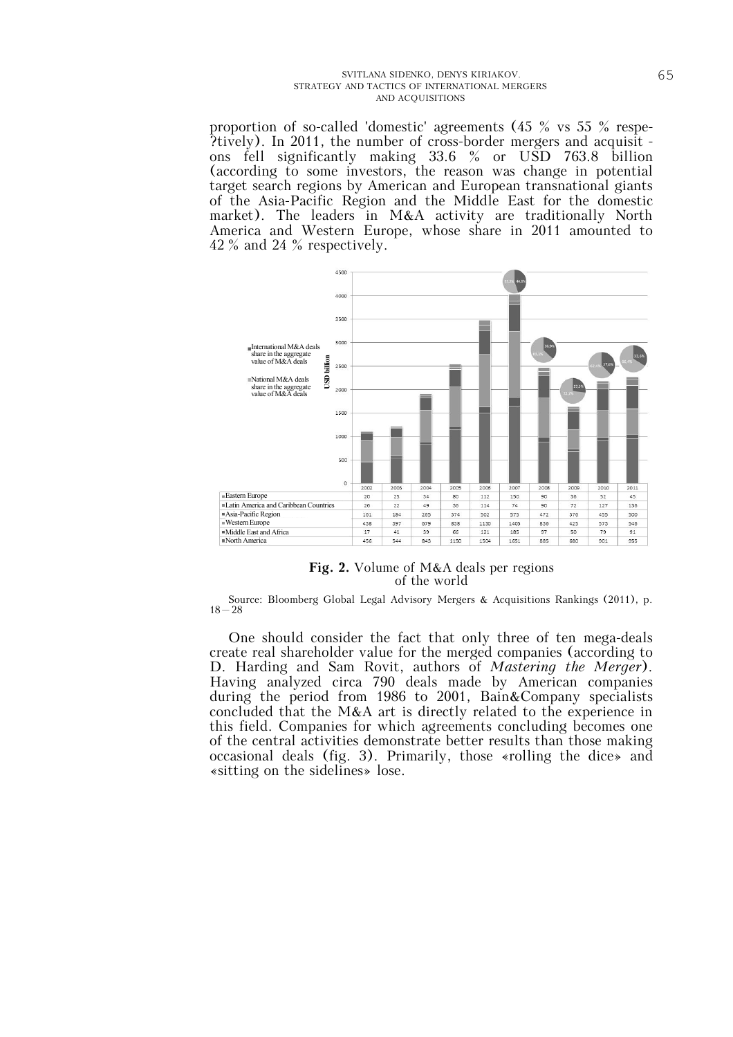proportion of so-called 'domestic' agreements (45 % vs 55 % respe- ?tively). In 2011, the number of cross-border mergers and acquisit ons fell significantly making 33.6 % or USD 763.8 billion (according to some investors, the reason was change in potential target search regions by American and European transnational giants of the Asia-Pacific Region and the Middle East for the domestic market). The leaders in M&A activity are traditionally North America and Western Europe, whose share in 2011 amounted to 42 % and 24 % respectively.



**Fig. 2.** Volume of M&A deals per regions of the world

Source: Bloomberg Global Legal Advisory Mergers & Acquisitions Rankings (2011), p.  $18 - 28$ 

One should consider the fact that only three of ten mega-deals create real shareholder value for the merged companies (according to D. Harding and Sam Rovit, authors of *Mastering the Merger*). Having analyzed circa 790 deals made by American companies during the period from 1986 to 2001, Bain&Company specialists concluded that the M&A art is directly related to the experience in this field. Companies for which agreements concluding becomes one of the central activities demonstrate better results than those making occasional deals (fig. 3). Primarily, those «rolling the dice» and «sitting on the sidelines» lose.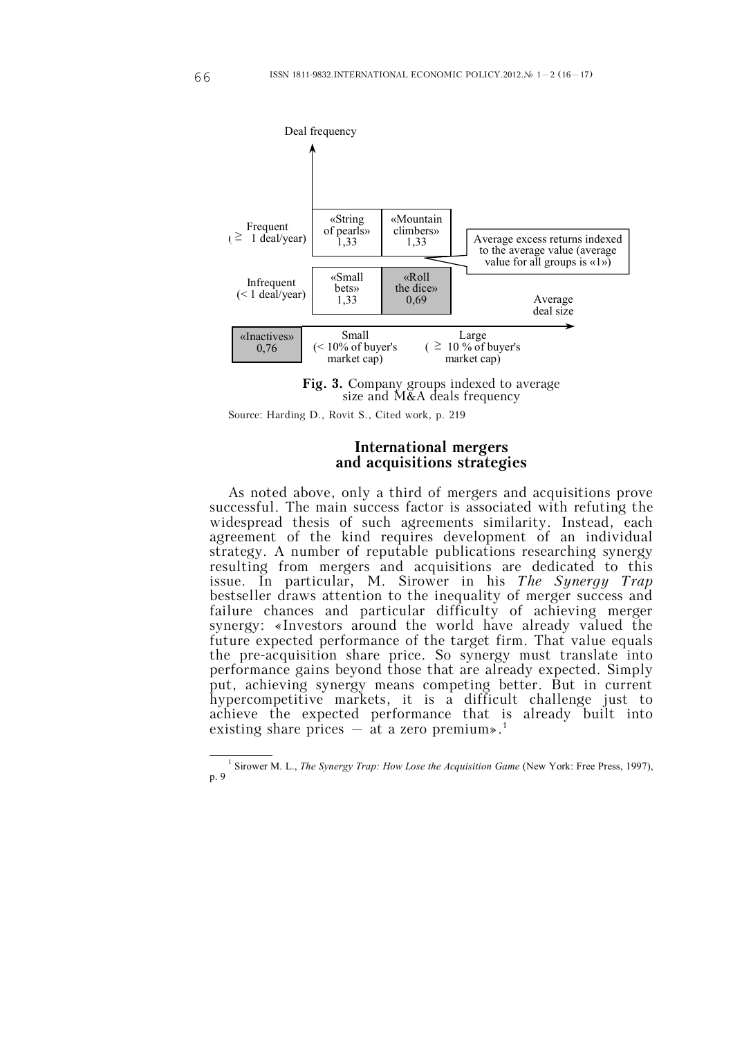

**Fig. 3.** Company groups indexed to average size and M&A deals frequency

Source: Harding D., Rovit S., Cited work, p. 219

### **International mergers and acquisitions strategies**

As noted above, only a third of mergers and acquisitions prove successful. The main success factor is associated with refuting the widespread thesis of such agreements similarity. Instead, each agreement of the kind requires development of an individual strategy. A number of reputable publications researching synergy resulting from mergers and acquisitions are dedicated to this issue. In particular, M. Sirower in his *The Synergy Trap* bestseller draws attention to the inequality of merger success and failure chances and particular difficulty of achieving merger synergy: «Investors around the world have already valued the future expected performance of the target firm. That value equals the pre-acquisition share price. So synergy must translate into performance gains beyond those that are already expected. Simply put, achieving synergy means competing better. But in current hypercompetitive markets, it is a difficult challenge just to achieve the expected performance that is already built into existing share prices  $-$  at a zero premium».<sup>1</sup>

<sup>&</sup>lt;sup>1</sup> Sirower M. L., *The Synergy Trap: How Lose the Acquisition Game* (New York: Free Press, 1997), р. 9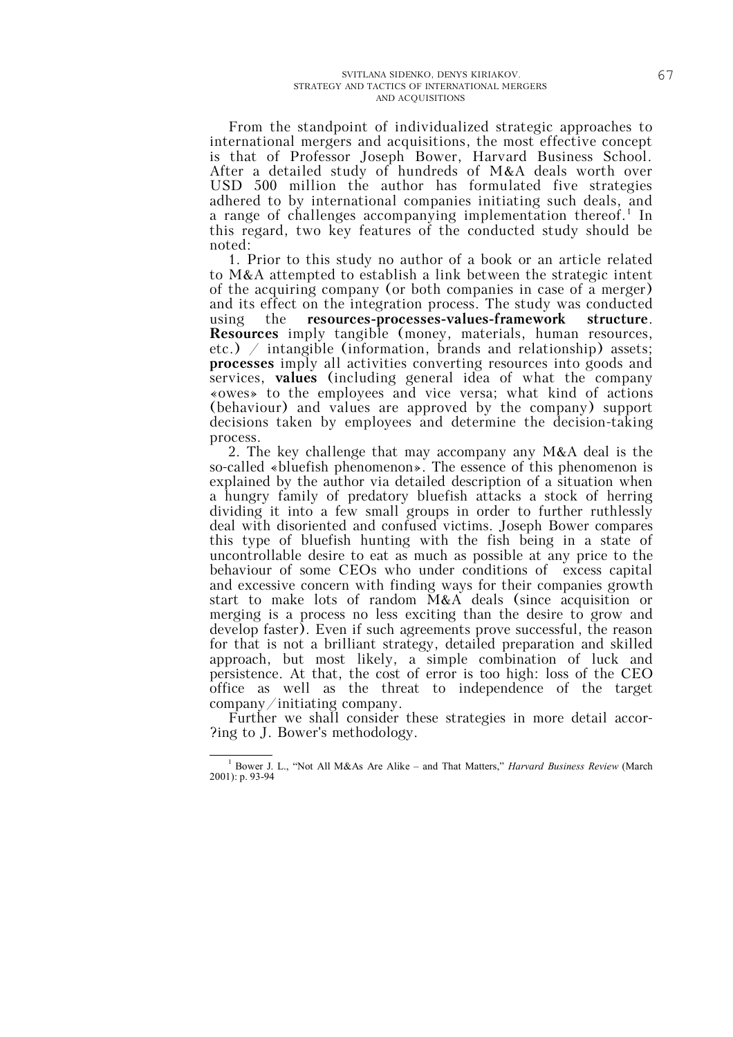From the standpoint of individualized strategic approaches to international mergers and acquisitions, the most effective concept is that of Professor Joseph Bower, Harvard Business School. After a detailed study of hundreds of M&A deals worth over USD 500 million the author has formulated five strategies adhered to by international companies initiating such deals, and a range of challenges accompanying implementation thereof.<sup>1</sup> In this regard, two key features of the conducted study should be noted:

1. Prior to this study no author of a book or an article related to M&A attempted to establish a link between the strategic intent of the acquiring company (or both companies in case of a merger) and its effect on the integration process. The study was conducted using the **resources-processes-values-framework structure**. **Resources** imply tangible (money, materials, human resources, etc.)  $\neq$  intangible (information, brands and relationship) assets; **processes** imply all activities converting resources into goods and services, **values** (including general idea of what the company «owes» to the employees and vice versa; what kind of actions (behaviour) and values are approved by the company) support decisions taken by employees and determine the decision-taking process.

2. The key challenge that may accompany any M&A deal is the so-called «bluefish phenomenon». The essence of this phenomenon is explained by the author via detailed description of a situation when a hungry family of predatory bluefish attacks a stock of herring dividing it into a few small groups in order to further ruthlessly deal with disoriented and confused victims. Joseph Bower compares this type of bluefish hunting with the fish being in a state of uncontrollable desire to eat as much as possible at any price to the behaviour of some CEOs who under conditions of excess capital and excessive concern with finding ways for their companies growth start to make lots of random M&A deals (since acquisition or merging is a process no less exciting than the desire to grow and develop faster). Even if such agreements prove successful, the reason for that is not a brilliant strategy, detailed preparation and skilled approach, but most likely, a simple combination of luck and persistence. At that, the cost of error is too high: loss of the CEO office as well as the threat to independence of the target company/initiating company.

Further we shall consider these strategies in more detail accor- ?ing to J. Bower's methodology.

<sup>-</sup><sup>1</sup> Bower J. L., "Not All M&As Are Alike – and That Matters," *Harvard Business Review* (March 2001): p. 93-94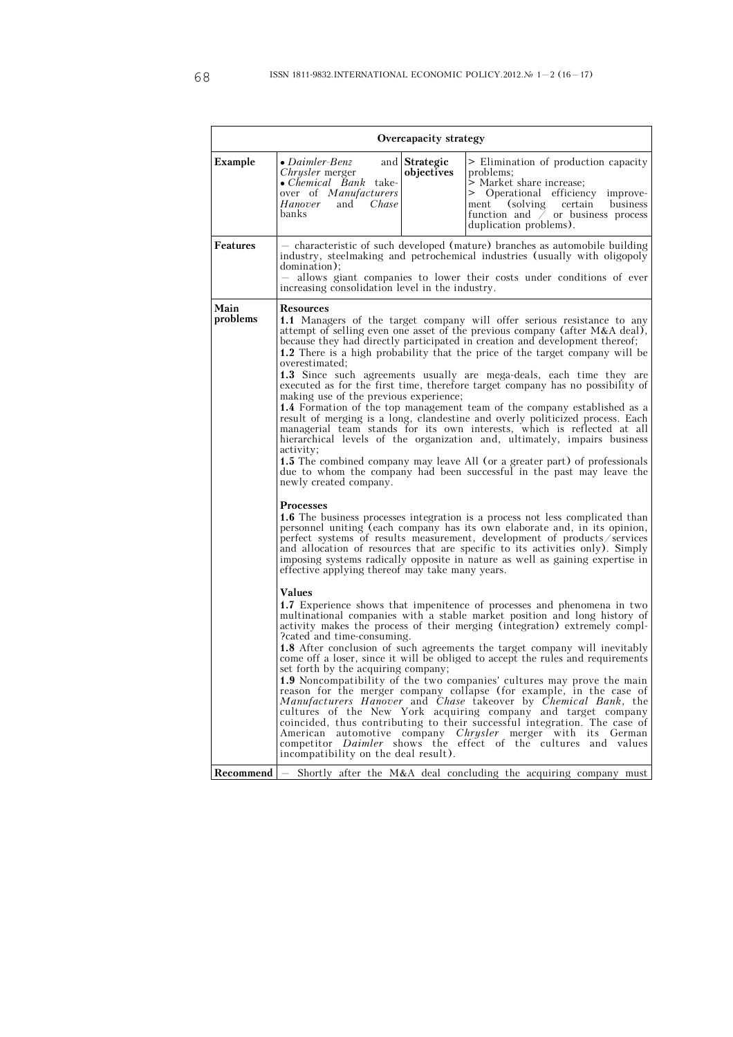|                  | Overcapacity strategy                                                                                                                                                                                                                                                                                                                                                                                                                                                                                                                                                                                                                                                                                                                                                                                                                                                                                                                                                                                                                                                                                                                                                                                                                                                                                                                                                                                                                                                                                                                |                                                                                                                                                                                                                                            |  |  |  |
|------------------|--------------------------------------------------------------------------------------------------------------------------------------------------------------------------------------------------------------------------------------------------------------------------------------------------------------------------------------------------------------------------------------------------------------------------------------------------------------------------------------------------------------------------------------------------------------------------------------------------------------------------------------------------------------------------------------------------------------------------------------------------------------------------------------------------------------------------------------------------------------------------------------------------------------------------------------------------------------------------------------------------------------------------------------------------------------------------------------------------------------------------------------------------------------------------------------------------------------------------------------------------------------------------------------------------------------------------------------------------------------------------------------------------------------------------------------------------------------------------------------------------------------------------------------|--------------------------------------------------------------------------------------------------------------------------------------------------------------------------------------------------------------------------------------------|--|--|--|
| Example          | $\bullet$ Daimler-Benz<br>and Strategic<br>objectives<br>Chrysler merger<br>• Chemical Bank take-<br>over of Manufacturers<br>and<br>Chase<br>Hanover<br>banks                                                                                                                                                                                                                                                                                                                                                                                                                                                                                                                                                                                                                                                                                                                                                                                                                                                                                                                                                                                                                                                                                                                                                                                                                                                                                                                                                                       | > Elimination of production capacity<br>problems;<br>> Market share increase;<br>> Operational efficiency improve-<br>(solving certain<br>business<br>ment<br>function and $\bar{\smash{7}}$ or business process<br>duplication problems). |  |  |  |
| <b>Features</b>  | domination);<br>increasing consolidation level in the industry.                                                                                                                                                                                                                                                                                                                                                                                                                                                                                                                                                                                                                                                                                                                                                                                                                                                                                                                                                                                                                                                                                                                                                                                                                                                                                                                                                                                                                                                                      | - characteristic of such developed (mature) branches as automobile building<br>industry, steelmaking and petrochemical industries (usually with oligopoly<br>allows giant companies to lower their costs under conditions of ever          |  |  |  |
| Main<br>problems | Resources<br><b>1.1</b> Managers of the target company will offer serious resistance to any<br>attempt of selling even one asset of the previous company (after $M&A$ deal),<br>because they had directly participated in creation and development thereof;<br>1.2 There is a high probability that the price of the target company will be<br>overestimated:<br><b>1.3</b> Since such agreements usually are mega-deals, each time they are<br>executed as for the first time, therefore target company has no possibility of<br>making use of the previous experience;<br><b>1.4</b> Formation of the top management team of the company established as a<br>result of merging is a long, clandestine and overly politicized process. Each<br>managerial team stands for its own interests, which is reflected at all<br>hierarchical levels of the organization and, ultimately, impairs business<br>activity;<br><b>1.5</b> The combined company may leave All (or a greater part) of professionals<br>due to whom the company had been successful in the past may leave the<br>newly created company.                                                                                                                                                                                                                                                                                                                                                                                                                           |                                                                                                                                                                                                                                            |  |  |  |
|                  | <b>Processes</b><br><b>1.6</b> The business processes integration is a process not less complicated than<br>personnel uniting (each company has its own elaborate and, in its opinion,<br>perfect systems of results measurement, development of products/services<br>and allocation of resources that are specific to its activities only). Simply<br>imposing systems radically opposite in nature as well as gaining expertise in<br>effective applying thereof may take many years.<br>Values<br>1.7 Experience shows that impenitence of processes and phenomena in two<br>multinational companies with a stable market position and long history of<br>activity makes the process of their merging (integration) extremely compl-<br>eated and time-consuming.<br><b>1.8</b> After conclusion of such agreements the target company will inevitably<br>come off a loser, since it will be obliged to accept the rules and requirements<br>set forth by the acquiring company;<br>1.9 Noncompatibility of the two companies' cultures may prove the main<br>reason for the merger company collapse (for example, in the case of<br>Manufacturers Hanover and Chase takeover by Chemical Bank, the<br>cultures of the New York acquiring company and target company<br>coincided, thus contributing to their successful integration. The case of<br>American automotive company Chrysler merger with its German<br>competitor <i>Daimler</i> shows the effect of the cultures and values<br>incompatibility on the deal result). |                                                                                                                                                                                                                                            |  |  |  |
|                  |                                                                                                                                                                                                                                                                                                                                                                                                                                                                                                                                                                                                                                                                                                                                                                                                                                                                                                                                                                                                                                                                                                                                                                                                                                                                                                                                                                                                                                                                                                                                      | <b>Recommend</b> $\vert$ Shortly after the M&A deal concluding the acquiring company must                                                                                                                                                  |  |  |  |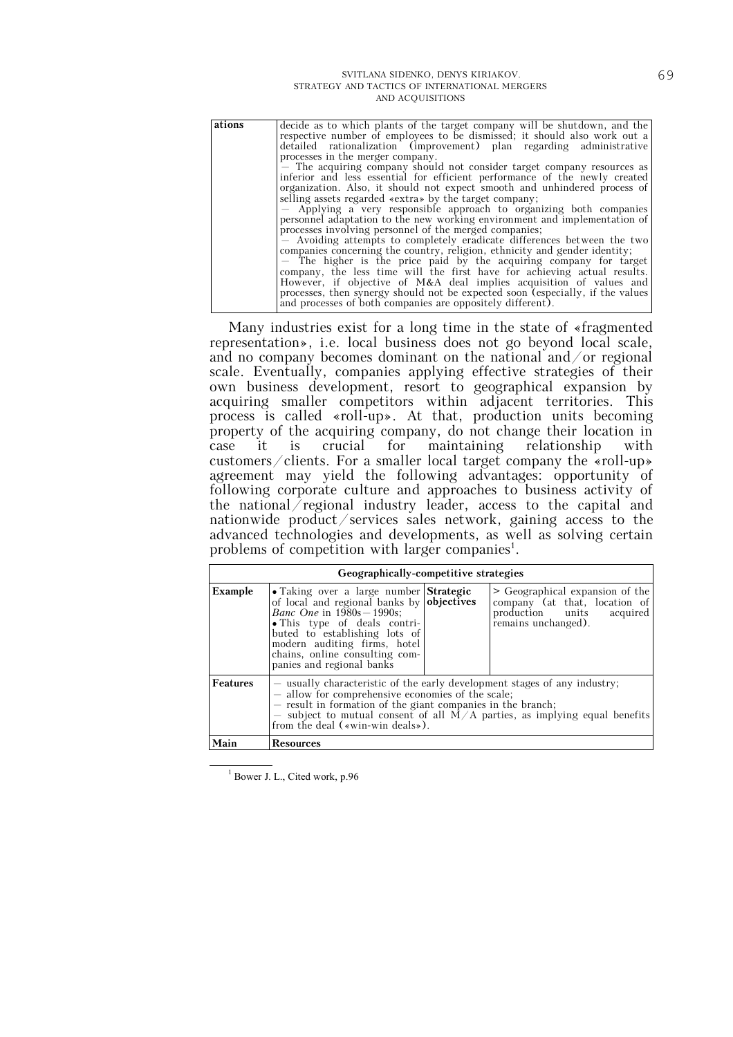| ations | decide as to which plants of the target company will be shutdown, and the       |
|--------|---------------------------------------------------------------------------------|
|        | respective number of employees to be dismissed; it should also work out a       |
|        | detailed rationalization (improvement) plan regarding administrative            |
|        | processes in the merger company.                                                |
|        | - The acquiring company should not consider target company resources as         |
|        | inferior and less essential for efficient performance of the newly created      |
|        | organization. Also, it should not expect smooth and unhindered process of       |
|        | selling assets regarded «extra» by the target company;                          |
|        | - Applying a very responsible approach to organizing both companies             |
|        | personnel adaptation to the new working environment and implementation of       |
|        | processes involving personnel of the merged companies;                          |
|        | - Avoiding attempts to completely eradicate differences between the two         |
|        | companies concerning the country, religion, ethnicity and gender identity;      |
|        | - The higher is the price paid by the acquiring company for target              |
|        | company, the less time will the first have for achieving actual results.        |
|        | However, if objective of M&A deal implies acquisition of values and             |
|        | processes, then synergy should not be expected soon (especially, if the values) |
|        | and processes of both companies are oppositely different).                      |

Many industries exist for a long time in the state of «fragmented representation», i.e. local business does not go beyond local scale, and no company becomes dominant on the national and/or regional scale. Eventually, companies applying effective strategies of their own business development, resort to geographical expansion by acquiring smaller competitors within adjacent territories. This process is called «roll-up». At that, production units becoming property of the acquiring company, do not change their location in case it is crucial for maintaining relationship with customers/clients. For a smaller local target company the «roll-up» agreement may yield the following advantages: opportunity of following corporate culture and approaches to business activity of the national regional industry leader, access to the capital and nationwide product/services sales network, gaining access to the advanced technologies and developments, as well as solving certain problems of competition with larger companies<sup>1</sup>.

|                 | Geographically-competitive strategies                                                                                                                                                                                                                                                                             |  |                                                                                                                         |  |  |  |
|-----------------|-------------------------------------------------------------------------------------------------------------------------------------------------------------------------------------------------------------------------------------------------------------------------------------------------------------------|--|-------------------------------------------------------------------------------------------------------------------------|--|--|--|
| Example         | • Taking over a large number Strategic<br>of local and regional banks by objectives<br><i>Banc One</i> in 1980s – 1990s:<br>• This type of deals contri-<br>buted to establishing lots of<br>modern auditing firms, hotel<br>chains, online consulting com-<br>panies and regional banks                          |  | > Geographical expansion of the<br>company (at that, location of<br>production units<br>acquired<br>remains unchanged). |  |  |  |
| <b>Features</b> | - usually characteristic of the early development stages of any industry;<br>- allow for comprehensive economies of the scale;<br>- result in formation of the giant companies in the branch;<br>- subject to mutual consent of all $M/A$ parties, as implying equal benefits<br>from the deal («win-win deals»). |  |                                                                                                                         |  |  |  |
| Main            | <b>Resources</b>                                                                                                                                                                                                                                                                                                  |  |                                                                                                                         |  |  |  |

<sup>1</sup> Bower J. L., Cited work, p.96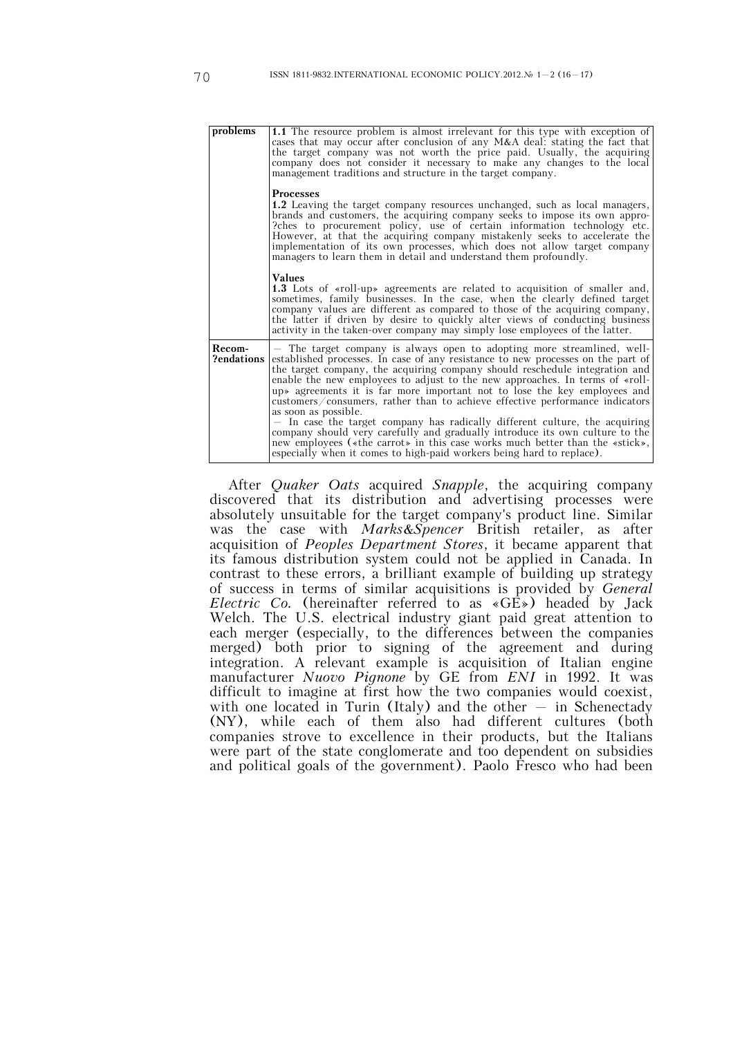| problems             | <b>1.1</b> The resource problem is almost irrelevant for this type with exception of<br>cases that may occur after conclusion of any $M&A$ deal: stating the fact that<br>the target company was not worth the price paid. Usually, the acquiring<br>company does not consider it necessary to make any changes to the local<br>management traditions and structure in the target company.                                                                                                                                                                                                                                                                                                                                                                                                                                              |
|----------------------|-----------------------------------------------------------------------------------------------------------------------------------------------------------------------------------------------------------------------------------------------------------------------------------------------------------------------------------------------------------------------------------------------------------------------------------------------------------------------------------------------------------------------------------------------------------------------------------------------------------------------------------------------------------------------------------------------------------------------------------------------------------------------------------------------------------------------------------------|
|                      | <b>Processes</b><br>1.2 Leaving the target company resources unchanged, such as local managers,<br>brands and customers, the acquiring company seeks to impose its own appro-<br>? ches to procurement policy, use of certain information technology etc.<br>However, at that the acquiring company mistakenly seeks to accelerate the<br>implementation of its own processes, which does not allow target company<br>managers to learn them in detail and understand them profoundly.                                                                                                                                                                                                                                                                                                                                                  |
|                      | <b>Values</b><br><b>1.3</b> Lots of «roll-up» agreements are related to acquisition of smaller and,<br>sometimes, family businesses. In the case, when the clearly defined target<br>company values are different as compared to those of the acquiring company,<br>the latter if driven by desire to quickly alter views of conducting business<br>activity in the taken-over company may simply lose employees of the latter.                                                                                                                                                                                                                                                                                                                                                                                                         |
| Recom-<br>?endations | - The target company is always open to adopting more streamlined, well-<br>established processes. In case of any resistance to new processes on the part of<br>the target company, the acquiring company should reschedule integration and<br>enable the new employees to adjust to the new approaches. In terms of «roll-<br>up» agreements it is far more important not to lose the key employees and<br>customers/consumers, rather than to achieve effective performance indicators<br>as soon as possible.<br>- In case the target company has radically different culture, the acquiring<br>company should very carefully and gradually introduce its own culture to the<br>new employees («the carrot» in this case works much better than the «stick»,<br>especially when it comes to high-paid workers being hard to replace). |

After *Quaker Oats* acquired *Snapple*, the acquiring company discovered that its distribution and advertising processes were absolutely unsuitable for the target company's product line. Similar was the case with *Marks&Spencer* British retailer, as after acquisition of *Peoples Department Stores*, it became apparent that its famous distribution system could not be applied in Canada. In contrast to these errors, a brilliant example of building up strategy of success in terms of similar acquisitions is provided by *General Electric Co.* (hereinafter referred to as «GE») headed by Jack Welch. The U.S. electrical industry giant paid great attention to each merger (especially, to the differences between the companies merged) both prior to signing of the agreement and during integration. A relevant example is acquisition of Italian engine manufacturer *Nuovo Pignone* by GE from *ENI* in 1992. It was difficult to imagine at first how the two companies would coexist, with one located in Turin (Italy) and the other  $-$  in Schenectady (NY), while each of them also had different cultures (both companies strove to excellence in their products, but the Italians were part of the state conglomerate and too dependent on subsidies and political goals of the government). Paolo Fresco who had been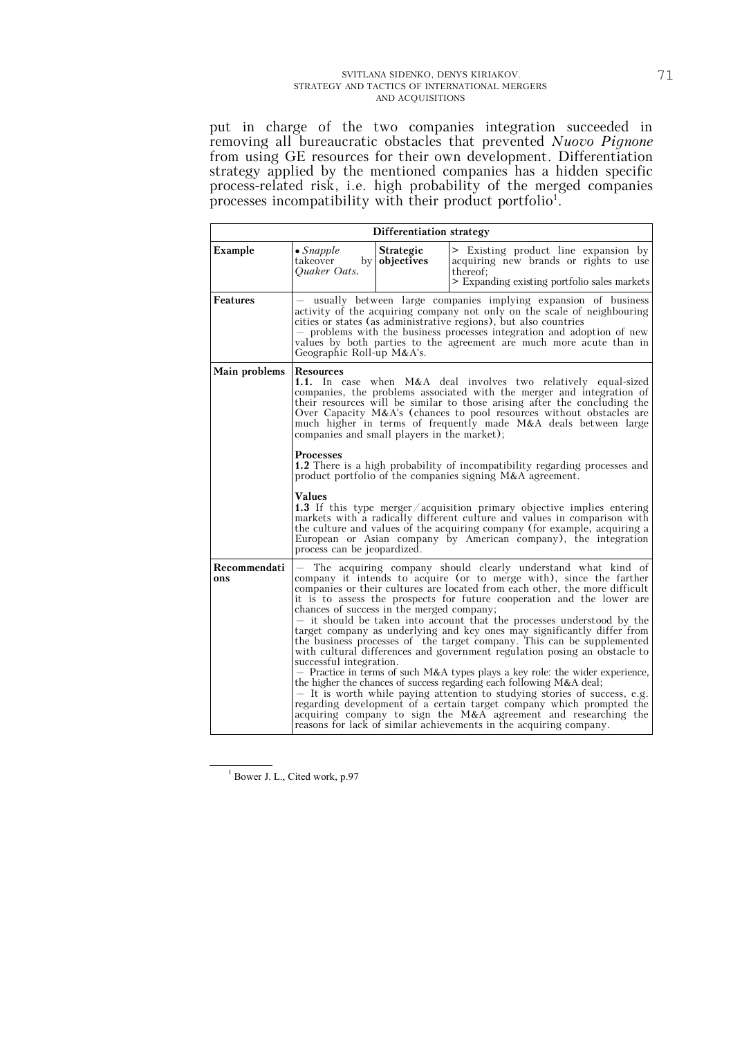put in charge of the two companies integration succeeded in removing all bureaucratic obstacles that prevented *Nuovo Pignone* from using GE resources for their own development. Differentiation strategy applied by the mentioned companies has a hidden specific process-related risk, i.e. high probability of the merged companies processes incompatibility with their product portfolio<sup>1</sup>.

|                     |                                                                                                                                                                                                                                                                                                                                                                                                                                                                                                                                                                                                                                                                                                                                                                                                                                                                                                                                                                                                                                                                                                                                             | Differentiation strategy       |                                                                                                                                           |  |  |  |
|---------------------|---------------------------------------------------------------------------------------------------------------------------------------------------------------------------------------------------------------------------------------------------------------------------------------------------------------------------------------------------------------------------------------------------------------------------------------------------------------------------------------------------------------------------------------------------------------------------------------------------------------------------------------------------------------------------------------------------------------------------------------------------------------------------------------------------------------------------------------------------------------------------------------------------------------------------------------------------------------------------------------------------------------------------------------------------------------------------------------------------------------------------------------------|--------------------------------|-------------------------------------------------------------------------------------------------------------------------------------------|--|--|--|
| Example             | $\bullet$ Snapple<br>takeover<br>by  <br>Quaker Oats.                                                                                                                                                                                                                                                                                                                                                                                                                                                                                                                                                                                                                                                                                                                                                                                                                                                                                                                                                                                                                                                                                       | <b>Strategic</b><br>objectives | > Existing product line expansion by<br>acquiring new brands or rights to use<br>thereof:<br>> Expanding existing portfolio sales markets |  |  |  |
| Features            | usually between large companies implying expansion of business<br>activity of the acquiring company not only on the scale of neighbouring<br>cities or states (as administrative regions), but also countries<br>- problems with the business processes integration and adoption of new<br>values by both parties to the agreement are much more acute than in<br>Geographic Roll-up M&A's.                                                                                                                                                                                                                                                                                                                                                                                                                                                                                                                                                                                                                                                                                                                                                 |                                |                                                                                                                                           |  |  |  |
| Main problems       | Resources<br><b>1.1.</b> In case when M&A deal involves two relatively equal-sized<br>companies, the problems associated with the merger and integration of<br>their resources will be similar to those arising after the concluding the<br>Over Capacity $M\&A's$ (chances to pool resources without obstacles are<br>much higher in terms of frequently made M&A deals between large<br>companies and small players in the market);<br><b>Processes</b><br><b>1.2</b> There is a high probability of incompatibility regarding processes and<br>product portfolio of the companies signing M&A agreement.                                                                                                                                                                                                                                                                                                                                                                                                                                                                                                                                 |                                |                                                                                                                                           |  |  |  |
|                     | Values<br>1.3 If this type merger/acquisition primary objective implies entering<br>markets with a radically different culture and values in comparison with<br>the culture and values of the acquiring company (for example, acquiring a<br>European or Asian company by American company), the integration<br>process can be jeopardized.                                                                                                                                                                                                                                                                                                                                                                                                                                                                                                                                                                                                                                                                                                                                                                                                 |                                |                                                                                                                                           |  |  |  |
| Recommendati<br>ons | The acquiring company should clearly understand what kind of<br>company it intends to acquire (or to merge with), since the farther<br>companies or their cultures are located from each other, the more difficult<br>it is to assess the prospects for future cooperation and the lower are<br>chances of success in the merged company;<br>- it should be taken into account that the processes understood by the<br>target company as underlying and key ones may significantly differ from<br>the business processes of the target company. This can be supplemented<br>with cultural differences and government regulation posing an obstacle to<br>successful integration.<br>- Practice in terms of such M&A types plays a key role: the wider experience,<br>the higher the chances of success regarding each following $M&A$ deal;<br>$-$ It is worth while paying attention to studying stories of success, e.g.<br>regarding development of a certain target company which prompted the<br>acquiring company to sign the M&A agreement and researching the<br>reasons for lack of similar achievements in the acquiring company. |                                |                                                                                                                                           |  |  |  |

<sup>&</sup>lt;sup>1</sup> Bower J. L., Cited work, p.97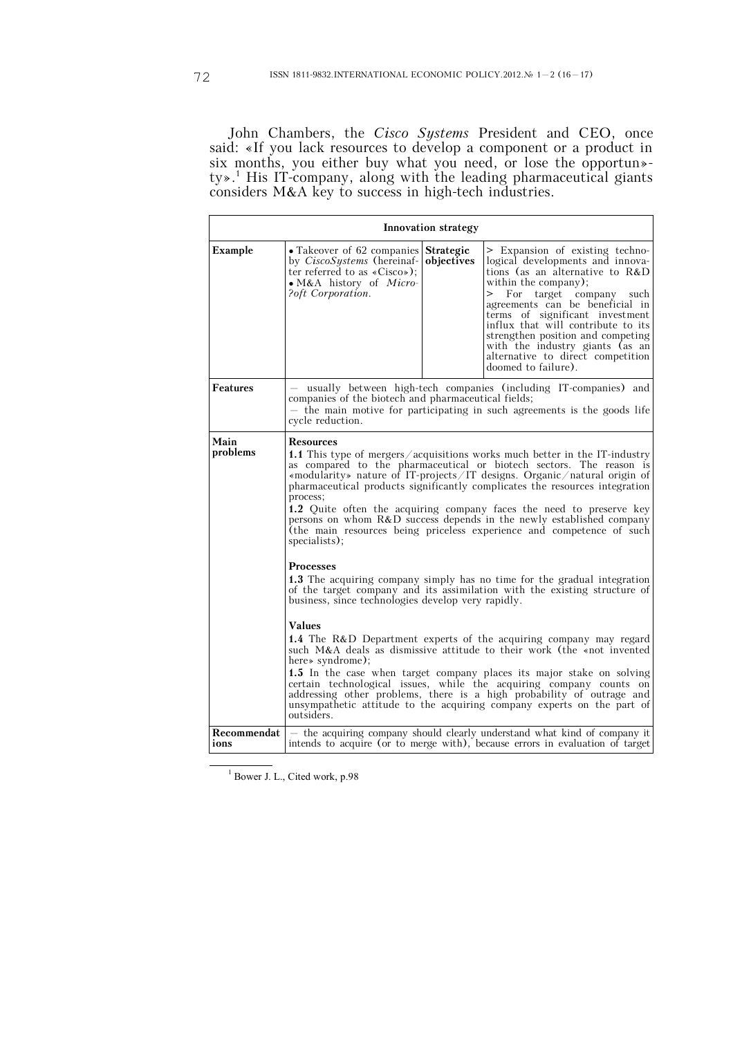John Chambers, the *Cisco Systems* President and CEO, once said: «If you lack resources to develop a component or a product in six months, you either buy what you need, or lose the opportun» ty».<sup>1</sup> His IT-company, along with the leading pharmaceutical giants considers M&A key to success in high-tech industries.

| Innovation strategy |                                                                                                                                                                                                                                                                                                                                                                                                                                                                                                                                                                                                                                                                                                                                                                                                                                                                                                                                                                                                                                                                                                                                                                                                                                                                                                                                               |                         |                                                                                                                                                                                                                                                                                                                                                                                                                  |  |
|---------------------|-----------------------------------------------------------------------------------------------------------------------------------------------------------------------------------------------------------------------------------------------------------------------------------------------------------------------------------------------------------------------------------------------------------------------------------------------------------------------------------------------------------------------------------------------------------------------------------------------------------------------------------------------------------------------------------------------------------------------------------------------------------------------------------------------------------------------------------------------------------------------------------------------------------------------------------------------------------------------------------------------------------------------------------------------------------------------------------------------------------------------------------------------------------------------------------------------------------------------------------------------------------------------------------------------------------------------------------------------|-------------------------|------------------------------------------------------------------------------------------------------------------------------------------------------------------------------------------------------------------------------------------------------------------------------------------------------------------------------------------------------------------------------------------------------------------|--|
| Example             | • Takeover of 62 companies<br>by <i>CiscoSystems</i> (hereinaf-<br>ter referred to as $\langle Cisco \rangle$ :<br>• M&A history of Micro-<br>?oft Corporation.                                                                                                                                                                                                                                                                                                                                                                                                                                                                                                                                                                                                                                                                                                                                                                                                                                                                                                                                                                                                                                                                                                                                                                               | Strategic<br>objectives | > Expansion of existing techno-<br>logical developments and innova-<br>tions (as an alternative to $R&D$<br>within the company);<br>For target company such<br>><br>agreements can be beneficial in<br>terms of significant investment<br>influx that will contribute to its<br>strengthen position and competing<br>with the industry giants (as an<br>alternative to direct competition<br>doomed to failure). |  |
| <b>Features</b>     | - usually between high-tech companies (including IT-companies) and<br>companies of the biotech and pharmaceutical fields;<br>- the main motive for participating in such agreements is the goods life<br>cycle reduction.                                                                                                                                                                                                                                                                                                                                                                                                                                                                                                                                                                                                                                                                                                                                                                                                                                                                                                                                                                                                                                                                                                                     |                         |                                                                                                                                                                                                                                                                                                                                                                                                                  |  |
| Main<br>problems    | <b>Resources</b><br><b>1.1</b> This type of mergers/acquisitions works much better in the IT-industry<br>as compared to the pharmaceutical or biotech sectors. The reason is<br>«modularity» nature of IT-projects/IT designs. Organic/natural origin of<br>pharmaceutical products significantly complicates the resources integration<br>process;<br>1.2 Quite often the acquiring company faces the need to preserve key<br>persons on whom R&D success depends in the newly established company<br>(the main resources being priceless experience and competence of such<br>specialists);<br><b>Processes</b><br>1.3 The acquiring company simply has no time for the gradual integration<br>of the target company and its assimilation with the existing structure of<br>business, since technologies develop very rapidly.<br><b>Values</b><br><b>1.4</b> The R&D Department experts of the acquiring company may regard<br>such M&A deals as dismissive attitude to their work (the «not invented<br>here» syndrome);<br>1.5 In the case when target company places its major stake on solving<br>certain technological issues, while the acquiring company counts on<br>addressing other problems, there is a high probability of outrage and<br>unsympathetic attitude to the acquiring company experts on the part of<br>outsiders. |                         |                                                                                                                                                                                                                                                                                                                                                                                                                  |  |
| Recommendat<br>ions |                                                                                                                                                                                                                                                                                                                                                                                                                                                                                                                                                                                                                                                                                                                                                                                                                                                                                                                                                                                                                                                                                                                                                                                                                                                                                                                                               |                         | - the acquiring company should clearly understand what kind of company it<br>intends to acquire (or to merge with), because errors in evaluation of target                                                                                                                                                                                                                                                       |  |

<sup>1</sup> Bower J. L., Cited work, p.98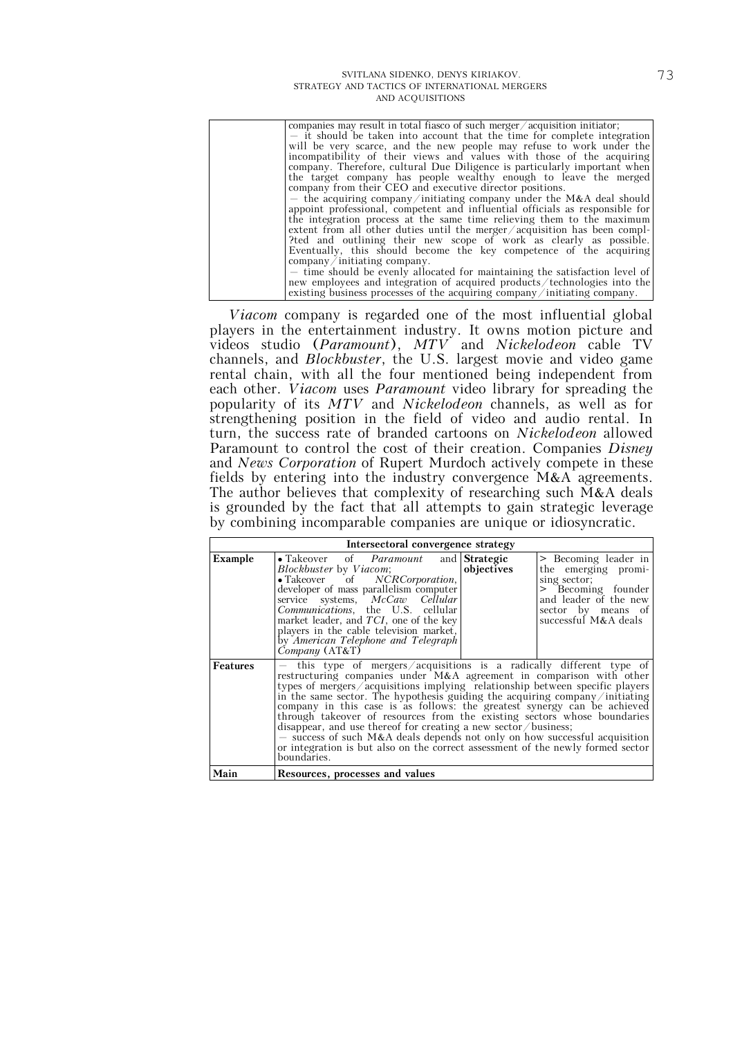| companies may result in total fiasco of such merger $\alpha$ acquisition initiator; |
|-------------------------------------------------------------------------------------|
| - it should be taken into account that the time for complete integration            |
| will be very scarce, and the new people may refuse to work under the                |
| incompatibility of their views and values with those of the acquiring               |
| company. Therefore, cultural Due Diligence is particularly important when           |
| the target company has people wealthy enough to leave the merged                    |
| company from their CEO and executive director positions.                            |
| - the acquiring company/initiating company under the M&A deal should                |
| appoint professional, competent and influential officials as responsible for        |
| the integration process at the same time relieving them to the maximum              |
| extent from all other duties until the merger $\alpha$ acquisition has been compl-  |
| ?ted and outlining their new scope of work as clearly as possible.                  |
| Eventually, this should become the key competence of the acquiring                  |
| $\mathop{\mathrm{company}/\mathrm{initiating\ company.}}$                           |
| - time should be evenly allocated for maintaining the satisfaction level of         |
| new employees and integration of acquired products/technologies into the            |
| existing business processes of the acquiring company/initiating company.            |
|                                                                                     |

*Viacom* company is regarded one of the most influential global players in the entertainment industry. It owns motion picture and videos studio (*Paramount*), *MTV* and *Nickelodeon* cable TV channels, and *Blockbuster*, the U.S. largest movie and video game rental chain, with all the four mentioned being independent from each other. *Viacom* uses *Paramount* video library for spreading the popularity of its *MTV* and *Nickelodeon* channels, as well as for strengthening position in the field of video and audio rental. In turn, the success rate of branded cartoons on *Nickelodeon* allowed Paramount to control the cost of their creation. Companies *Disney* and *News Corporation* of Rupert Murdoch actively compete in these fields by entering into the industry convergence M&A agreements. The author believes that complexity of researching such M&A deals is grounded by the fact that all attempts to gain strategic leverage by combining incomparable companies are unique or idiosyncratic.

| Intersectoral convergence strategy |                                                                                                                                                                                                                                                                                                                                                                                                                                                                                                                                                                                                                                                                                                                           |            |                                                                                                                                                          |  |
|------------------------------------|---------------------------------------------------------------------------------------------------------------------------------------------------------------------------------------------------------------------------------------------------------------------------------------------------------------------------------------------------------------------------------------------------------------------------------------------------------------------------------------------------------------------------------------------------------------------------------------------------------------------------------------------------------------------------------------------------------------------------|------------|----------------------------------------------------------------------------------------------------------------------------------------------------------|--|
| Example                            | • Takeover of <i>Paramount</i> and <b>Strategic</b><br>Blockbuster by Viacom;<br>$\begin{tabular}{ll} \bullet \textbf{Takeover} & \textbf{of} & \textbf{N}\textbf{C}\textbf{R}\textbf{C}\textbf{or} \textbf{p} \textbf{oration}, \\ \textbf{developer of mass parallelism computer} \end{tabular}$<br>service systems, McCaw Cellular<br>Communications, the U.S. cellular<br>market leader, and $TCI$ , one of the key<br>players in the cable television market,<br>by American Telephone and Telegraph<br>$Company$ $(AT&T)$                                                                                                                                                                                           | objectives | > Becoming leader in<br>the emerging promi-<br>sing sector;<br>> Becoming founder<br>and leader of the new<br>sector by means of<br>successful M&A deals |  |
| Features                           | - this type of mergers/acquisitions is a radically different type of<br>restructuring companies under M&A agreement in comparison with other<br>types of mergers/acquisitions implying relationship between specific players<br>in the same sector. The hypothesis guiding the acquiring company/initiating<br>company in this case is as follows: the greatest synergy can be achieved<br>through takeover of resources from the existing sectors whose boundaries<br>disappear, and use thereof for creating a new sector / business;<br>$-$ success of such M&A deals depends not only on how successful acquisition<br>or integration is but also on the correct assessment of the newly formed sector<br>boundaries. |            |                                                                                                                                                          |  |
| Main                               | Resources, processes and values                                                                                                                                                                                                                                                                                                                                                                                                                                                                                                                                                                                                                                                                                           |            |                                                                                                                                                          |  |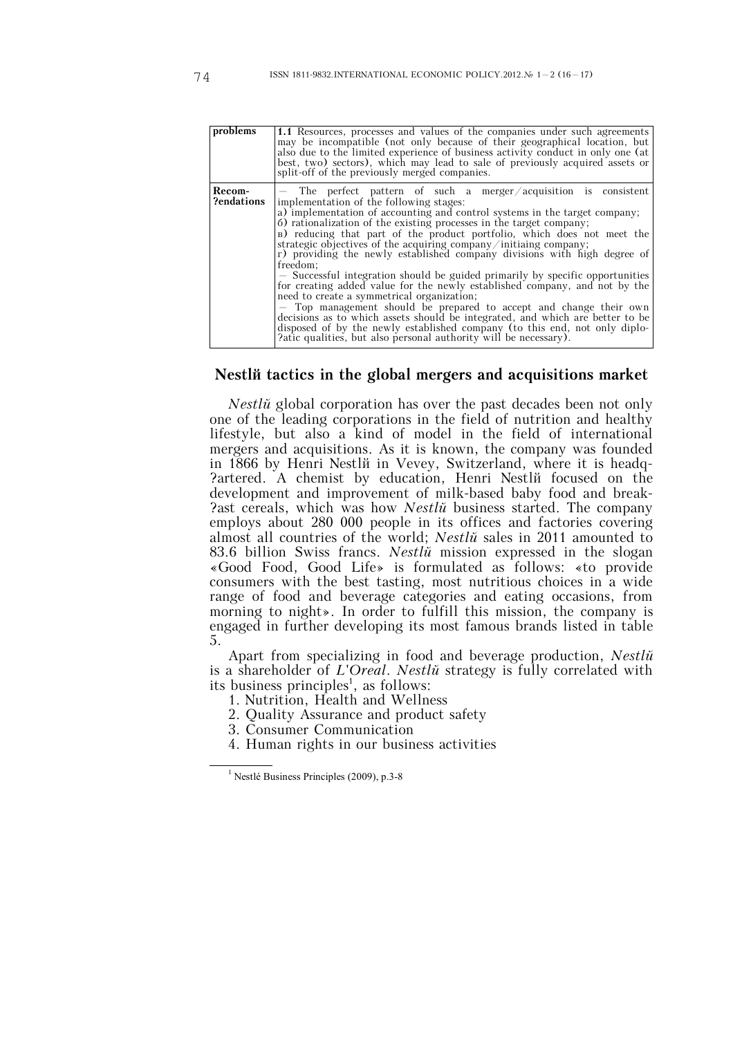| problems             | 1.1 Resources, processes and values of the companies under such agreements<br>may be incompatible (not only because of their geographical location, but<br>also due to the limited experience of business activity conduct in only one (at<br>best, two) sectors), which may lead to sale of previously acquired assets or<br>split-off of the previously merged companies.                                                                                                                                                                                                                                                                                                                                                                                                                                                                                                                                                                                                                                                     |
|----------------------|---------------------------------------------------------------------------------------------------------------------------------------------------------------------------------------------------------------------------------------------------------------------------------------------------------------------------------------------------------------------------------------------------------------------------------------------------------------------------------------------------------------------------------------------------------------------------------------------------------------------------------------------------------------------------------------------------------------------------------------------------------------------------------------------------------------------------------------------------------------------------------------------------------------------------------------------------------------------------------------------------------------------------------|
| Recom-<br>?endations | $-$ The perfect pattern of such a merger/acquisition is consistent<br>implementation of the following stages:<br>a) implementation of accounting and control systems in the target company;<br>6) rationalization of the existing processes in the target company;<br>B) reducing that part of the product portfolio, which does not meet the<br>strategic objectives of the acquiring company/initiaing company;<br>r) providing the newly established company divisions with high degree of<br>freedom;<br>- Successful integration should be guided primarily by specific opportunities<br>for creating added value for the newly established company, and not by the<br>need to create a symmetrical organization;<br>- Top management should be prepared to accept and change their own<br>decisions as to which assets should be integrated, and which are better to be<br>disposed of by the newly established company (to this end, not only diplo-<br>?atic qualities, but also personal authority will be necessary). |

### **Nestlé tactics in the global mergers and acquisitions market**

*Nestlu*<sup>*i*</sup> global corporation has over the past decades been not only one of the leading corporations in the field of nutrition and healthy lifestyle, but also a kind of model in the field of international mergers and acquisitions. As it is known, the company was founded in 1866 by Henri Nestlé in Vevey, Switzerland, where it is headq- ?artered. A chemist by education, Henri Nestli focused on the development and improvement of milk-based baby food and break- ?ast cereals, which was how *Nestlé* business started. The company employs about 280 000 people in its offices and factories covering almost all countries of the world; *Nestlé* sales in 2011 amounted to 83.6 billion Swiss francs. *Nestlé* mission expressed in the slogan «Good Food, Good Life» is formulated as follows: «to provide consumers with the best tasting, most nutritious choices in a wide range of food and beverage categories and eating occasions, from morning to night». In order to fulfill this mission, the company is engaged in further developing its most famous brands listed in table 5.

Apart from specializing in food and beverage production, *Nestlé* is a shareholder of *L'Oreal*. *Nestlé* strategy is fully correlated with its business principles<sup>1</sup>, as follows:

- 1. Nutrition, Health and Wellness
- 2. Quality Assurance and product safety
- 3. Consumer Communication
- 4. Human rights in our business activities

 $<sup>1</sup>$  Nestlé Business Principles (2009), p.3-8</sup>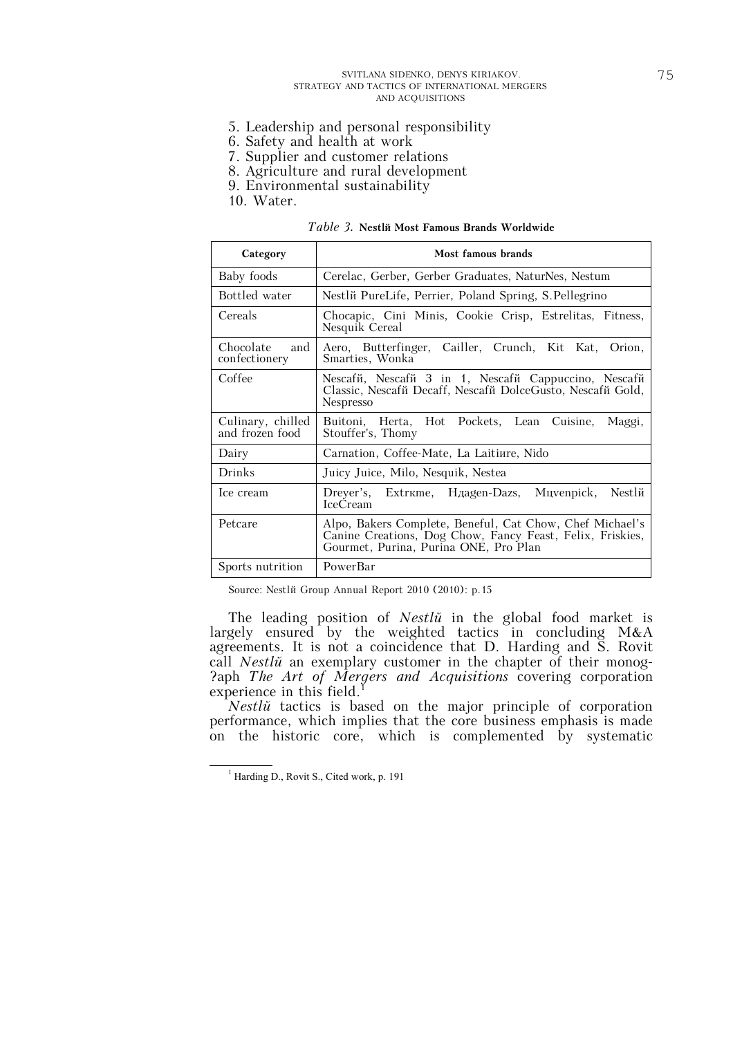- 5. Leadership and personal responsibility
- 6. Safety and health at work
- 7. Supplier and customer relations
- 8. Agriculture and rural development
- 9. Environmental sustainability

10. Water.

*Table 3.* **Nestlé Most Famous Brands Worldwide**

| Category                             | Most famous brands                                                                                                                                             |
|--------------------------------------|----------------------------------------------------------------------------------------------------------------------------------------------------------------|
| Baby foods                           | Cerelac, Gerber, Gerber Graduates, NaturNes, Nestum                                                                                                            |
| Bottled water                        | Nestlй PureLife, Perrier, Poland Spring, S. Pellegrino                                                                                                         |
| Cereals                              | Chocapic, Cini Minis, Cookie Crisp, Estrelitas, Fitness,<br>Nesquik Cereal                                                                                     |
| Chocolate<br>and<br>confectionery    | Aero, Butterfinger, Cailler, Crunch, Kit Kat, Orion,<br>Smarties, Wonka                                                                                        |
| Coffee                               | Nescafi, Nescafii 3 in 1, Nescafii Cappuccino, Nescafii<br>Classic, Nescaf i Decaff, Nescaf i DolceGusto, Nescaf i Gold,<br><b>Nespresso</b>                   |
| Culinary, chilled<br>and frozen food | Buitoni, Herta, Hot Pockets, Lean<br>Maggi,<br>Cuisine,<br>Stouffer's, Thomy                                                                                   |
| Dairy                                | Carnation, Coffee-Mate, La Laitiure, Nido                                                                                                                      |
| Drinks                               | Juicy Juice, Milo, Nesquik, Nestea                                                                                                                             |
| Ice cream                            | Dreyer's, Extrkme, Haagen-Dazs, Muyenpick,<br>Nestlй<br><b>IceCream</b>                                                                                        |
| Petcare                              | Alpo, Bakers Complete, Beneful, Cat Chow, Chef Michael's<br>Canine Creations, Dog Chow, Fancy Feast, Felix, Friskies,<br>Gourmet, Purina, Purina ONE, Pro Plan |
| Sports nutrition                     | PowerBar                                                                                                                                                       |

Source: Nestlé Group Annual Report 2010 (2010): p.15

The leading position of *Nestlé* in the global food market is largely ensured by the weighted tactics in concluding M&A agreements. It is not a coincidence that D. Harding and S. Rovit call *Nestlé* an exemplary customer in the chapter of their monog- ?aph *The Art of Mergers and Acquisitions* covering corporation experience in this field.<sup>1</sup>

*Nestlé* tactics is based on the major principle of corporation performance, which implies that the core business emphasis is made on the historic core, which is complemented by systematic

<sup>&</sup>lt;sup>1</sup> Harding D., Rovit S., Cited work, p. 191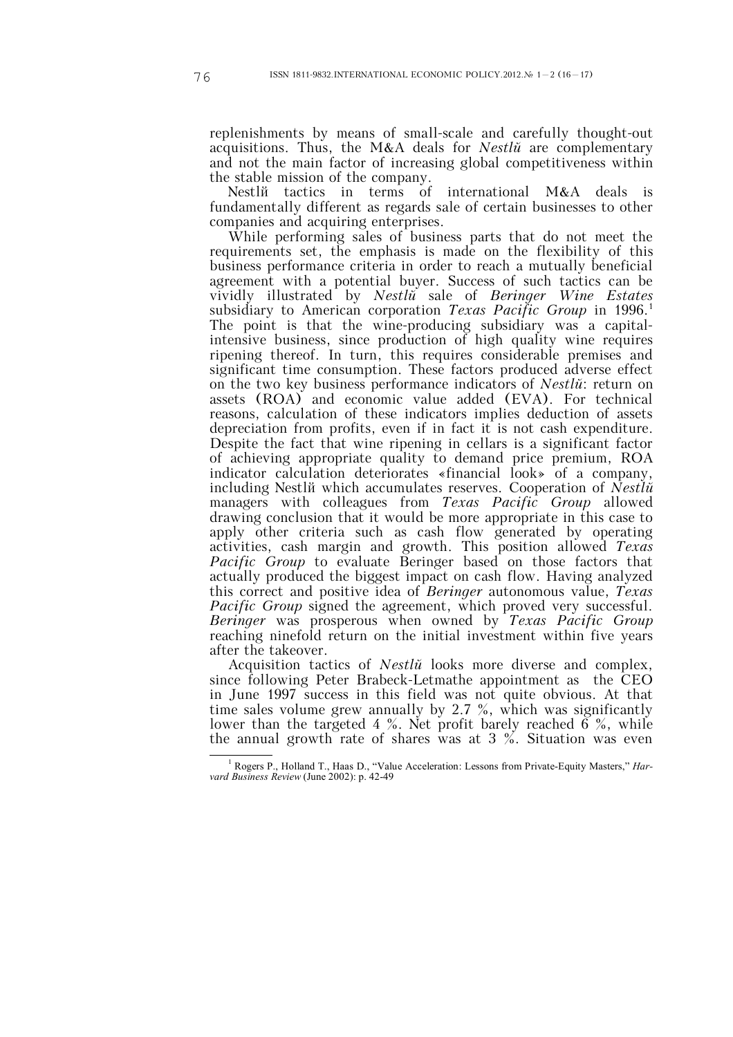replenishments by means of small-scale and carefully thought-out acquisitions. Thus, the M&A deals for *Nestlé* are complementary and not the main factor of increasing global competitiveness within the stable mission of the company.

Nestlum tactics in terms of international M&A deals is fundamentally different as regards sale of certain businesses to other companies and acquiring enterprises.

While performing sales of business parts that do not meet the requirements set, the emphasis is made on the flexibility of this business performance criteria in order to reach a mutually beneficial agreement with a potential buyer. Success of such tactics can be vividly illustrated by *Nestlé* sale of *Beringer Wine Estates* subsidiary to American corporation *Texas Pacific Group* in 1996.<sup>1</sup> The point is that the wine-producing subsidiary was a capitalintensive business, since production of high quality wine requires ripening thereof. In turn, this requires considerable premises and significant time consumption. These factors produced adverse effect on the two key business performance indicators of *Nestlé*: return on assets (ROA) and economic value added (EVA). For technical reasons, calculation of these indicators implies deduction of assets depreciation from profits, even if in fact it is not cash expenditure. Despite the fact that wine ripening in cellars is a significant factor of achieving appropriate quality to demand price premium, ROA indicator calculation deteriorates «financial look» of a company, including Nestlé which accumulates reserves. Cooperation of *Nestlé* managers with colleagues from *Texas Pacific Group* allowed drawing conclusion that it would be more appropriate in this case to apply other criteria such as cash flow generated by operating activities, cash margin and growth. This position allowed *Texas Pacific Group* to evaluate Beringer based on those factors that actually produced the biggest impact on cash flow. Having analyzed this correct and positive idea of *Beringer* autonomous value, *Texas Pacific Group* signed the agreement, which proved very successful. *Beringer* was prosperous when owned by *Texas Pacific Group* reaching ninefold return on the initial investment within five years after the takeover.

Acquisition tactics of *Nestlé* looks more diverse and complex, since following Peter Brabeck-Letmathe appointment as the CEO in June 1997 success in this field was not quite obvious. At that time sales volume grew annually by 2.7 %, which was significantly lower than the targeted 4 %. Net profit barely reached  $\vec{6}$  %, while the annual growth rate of shares was at 3 %. Situation was even

<sup>1</sup> Rogers P., Holland T., Haas D., "Value Acceleration: Lessons from Private-Equity Masters," *Harvard Business Review* (June 2002): p. 42-49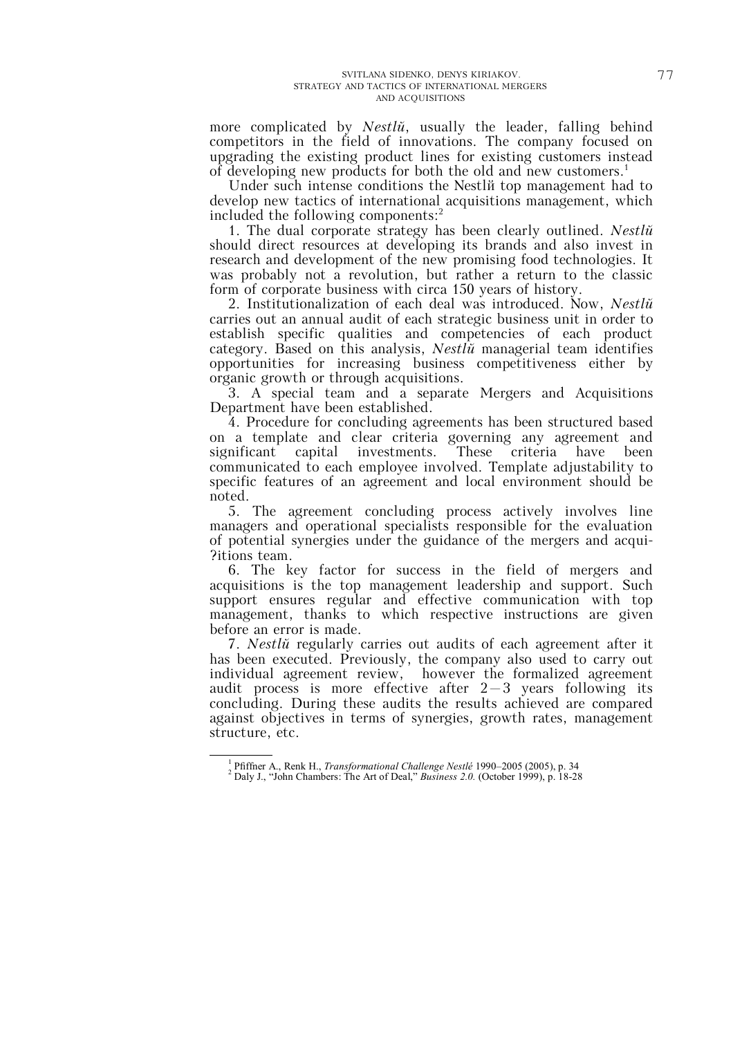more complicated by *Nestlé*, usually the leader, falling behind competitors in the field of innovations. The company focused on upgrading the existing product lines for existing customers instead of developing new products for both the old and new customers.<sup>1</sup>

Under such intense conditions the Nestli top management had to develop new tactics of international acquisitions management, which included the following components: $<sup>2</sup>$ </sup>

1. The dual corporate strategy has been clearly outlined. *Nestlé* should direct resources at developing its brands and also invest in research and development of the new promising food technologies. It was probably not a revolution, but rather a return to the classic form of corporate business with circa 150 years of history.

2. Institutionalization of each deal was introduced. Now, *Nestlé* carries out an annual audit of each strategic business unit in order to establish specific qualities and competencies of each product category. Based on this analysis, *Nestlé* managerial team identifies opportunities for increasing business competitiveness either by organic growth or through acquisitions.

3. A special team and a separate Mergers and Acquisitions Department have been established.

4. Procedure for concluding agreements has been structured based on a template and clear criteria governing any agreement and<br>significant capital investments. These criteria have been significant capital investments. These criteria have been communicated to each employee involved. Template adjustability to specific features of an agreement and local environment should be noted.

5. The agreement concluding process actively involves line managers and operational specialists responsible for the evaluation of potential synergies under the guidance of the mergers and acqui- ?itions team.

6. The key factor for success in the field of mergers and acquisitions is the top management leadership and support. Such support ensures regular and effective communication with top management, thanks to which respective instructions are given before an error is made.

7. *Nestlé* regularly carries out audits of each agreement after it has been executed. Previously, the company also used to carry out individual agreement review, however the formalized agreement audit process is more effective after  $2-3$  years following its concluding. During these audits the results achieved are compared against objectives in terms of synergies, growth rates, management structure, etc.

<sup>1</sup> Pfiffner A., Renk H., *Transformational Challenge Nestlé* 1990–2005 (2005), p. 34

<sup>2</sup> Daly J., "John Chambers: The Art of Deal," *Business 2.0.* (October 1999), p. 18-28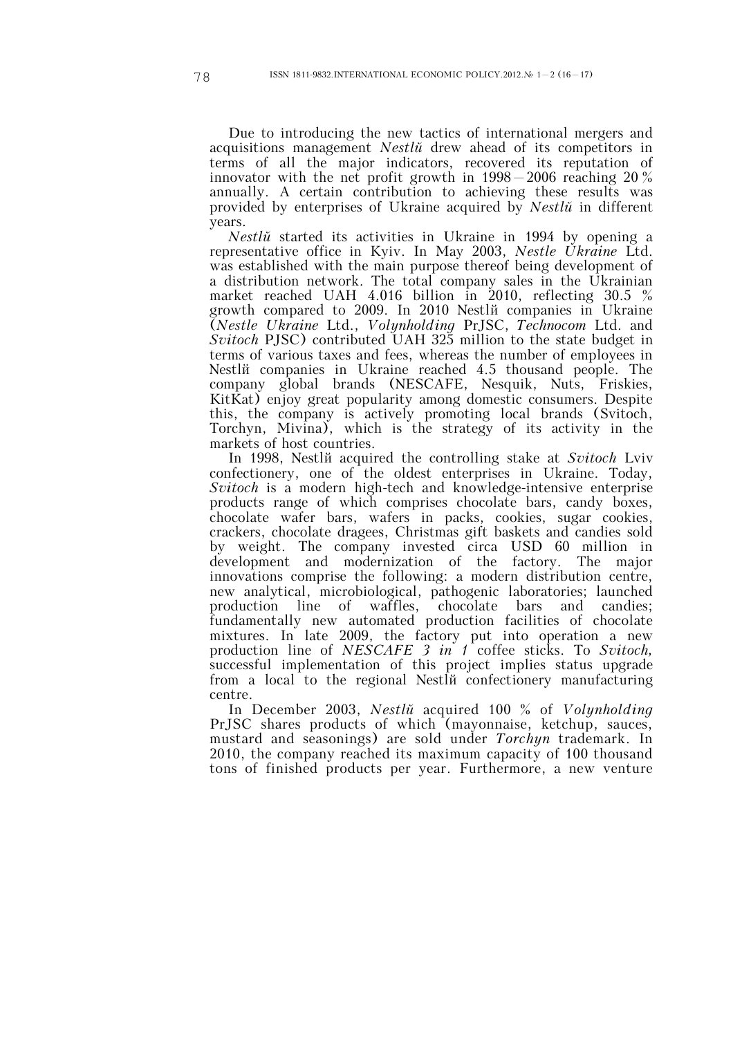Due to introducing the new tactics of international mergers and acquisitions management *Nestlé* drew ahead of its competitors in terms of all the major indicators, recovered its reputation of innovator with the net profit growth in 1998—2006 reaching 20 % annually. A certain contribution to achieving these results was provided by enterprises of Ukraine acquired by *Nestlé* in different years.

*Nestlé* started its activities in Ukraine in 1994 by opening a representative office in Kyiv. In May 2003, *Nestle Ukraine* Ltd. was established with the main purpose thereof being development of a distribution network. The total company sales in the Ukrainian market reached UAH 4.016 billion in 2010, reflecting 30.5 % growth compared to 2009. In 2010 Nestlé companies in Ukraine (*Nestle Ukraine* Ltd., *Volynholding* PrJSC, *Technocom* Ltd. and *Svitoch* PJSC) contributed UAH 325 million to the state budget in terms of various taxes and fees, whereas the number of employees in Nestl<sub>i</sub> companies in Ukraine reached 4.5 thousand people. The company global brands (NESCAFE, Nesquik, Nuts, Friskies, KitKat) enjoy great popularity among domestic consumers. Despite this, the company is actively promoting local brands (Svitoch, Torchyn, Mivina), which is the strategy of its activity in the markets of host countries.

In 1998, Nestlé acquired the controlling stake at *Svitoch* Lviv confectionery, one of the oldest enterprises in Ukraine. Today, *Svitoch* is a modern high-tech and knowledge-intensive enterprise products range of which comprises chocolate bars, candy boxes, chocolate wafer bars, wafers in packs, cookies, sugar cookies, crackers, chocolate dragees, Christmas gift baskets and candies sold by weight. The company invested circa USD 60 million in development and modernization of the factory. The major innovations comprise the following: a modern distribution centre, new analytical, microbiological, pathogenic laboratories; launched production line of waffles, chocolate bars and candies; fundamentally new automated production facilities of chocolate mixtures. In late 2009, the factory put into operation a new production line of *NESCAFE 3 in 1* coffee sticks. To *Svitoch,* successful implementation of this project implies status upgrade from a local to the regional Nestlé confectionery manufacturing centre.

In December 2003, *Nestlé* acquired 100 % of *Volynholding* PrJSC shares products of which (mayonnaise, ketchup, sauces, mustard and seasonings) are sold under *Torchyn* trademark. In 2010, the company reached its maximum capacity of 100 thousand tons of finished products per year. Furthermore, a new venture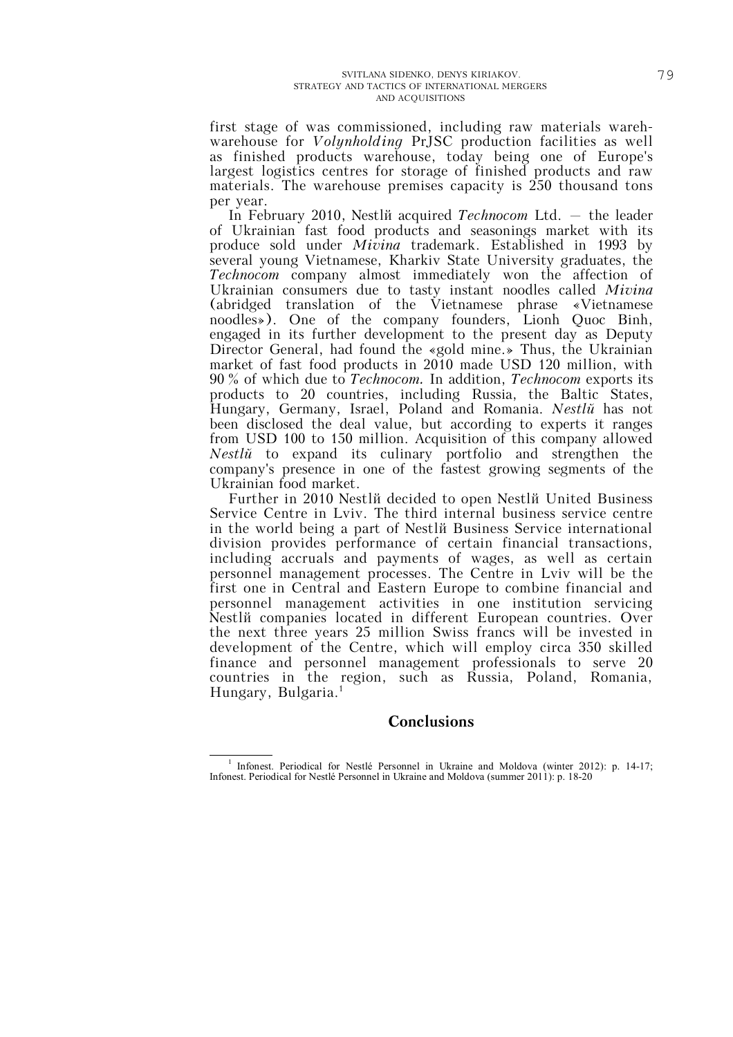first stage of was commissioned, including raw materials warehwarehouse for *Volynholding* PrJSC production facilities as well as finished products warehouse, today being one of Europe's largest logistics centres for storage of finished products and raw materials. The warehouse premises capacity is 250 thousand tons per year.

In February 2010, Nestlé acquired *Technocom* Ltd. — the leader of Ukrainian fast food products and seasonings market with its produce sold under *Mivina* trademark. Established in 1993 by several young Vietnamese, Kharkiv State University graduates, the *Technocom* company almost immediately won the affection of Ukrainian consumers due to tasty instant noodles called *Mivina* (abridged translation of the Vietnamese phrase «Vietnamese noodles»). One of the company founders, Lionh Quoc Binh, engaged in its further development to the present day as Deputy Director General, had found the «gold mine.» Thus, the Ukrainian market of fast food products in 2010 made USD 120 million, with 90 % of which due to *Technocom.* In addition, *Technocom* exports its products to 20 countries, including Russia, the Baltic States, Hungary, Germany, Israel, Poland and Romania. *Nestlé* has not been disclosed the deal value, but according to experts it ranges from USD 100 to 150 million. Acquisition of this company allowed *Nestlé* to expand its culinary portfolio and strengthen the company's presence in one of the fastest growing segments of the Ukrainian food market.

Further in 2010 Nestli decided to open Nestli United Business Service Centre in Lviv. The third internal business service centre in the world being a part of Nestlé Business Service international division provides performance of certain financial transactions, including accruals and payments of wages, as well as certain personnel management processes. The Centre in Lviv will be the first one in Central and Eastern Europe to combine financial and personnel management activities in one institution servicing Nestlé companies located in different European countries. Over the next three years 25 million Swiss francs will be invested in development of the Centre, which will employ circa 350 skilled finance and personnel management professionals to serve 20 countries in the region, such as Russia, Poland, Romania, Hungary, Bulgaria.<sup>1</sup>

# **Conclusions**

<sup>-</sup><sup>1</sup> Infonest. Periodical for Nestlé Personnel in Ukraine and Moldova (winter 2012): p. 14-17; Infonest. Periodical for Nestlé Personnel in Ukraine and Moldova (summer 2011): p. 18-20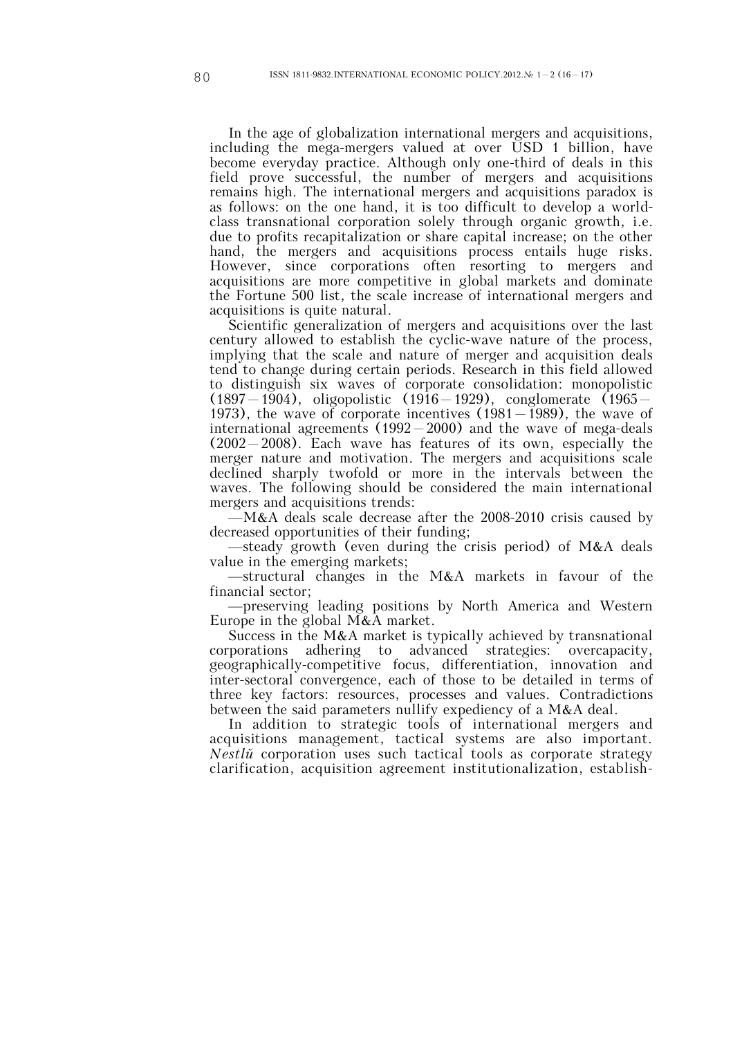In the age of globalization international mergers and acquisitions, including the mega-mergers valued at over USD 1 billion, have become everyday practice. Although only one-third of deals in this field prove successful, the number of mergers and acquisitions remains high. The international mergers and acquisitions paradox is as follows: on the one hand, it is too difficult to develop a worldclass transnational corporation solely through organic growth, i.e. due to profits recapitalization or share capital increase; on the other hand, the mergers and acquisitions process entails huge risks. However, since corporations often resorting to mergers and acquisitions are more competitive in global markets and dominate the Fortune 500 list, the scale increase of international mergers and acquisitions is quite natural.

Scientific generalization of mergers and acquisitions over the last century allowed to establish the cyclic-wave nature of the process, implying that the scale and nature of merger and acquisition deals tend to change during certain periods. Research in this field allowed to distinguish six waves of corporate consolidation: monopolistic  $(1897 - 1904)$ , oligopolistic  $(1916 - 1929)$ , conglomerate  $(1965 -$ 1973), the wave of corporate incentives  $(1981 - 1989)$ , the wave of international agreements  $(1992 - 2000)$  and the wave of mega-deals (2002—2008). Each wave has features of its own, especially the merger nature and motivation. The mergers and acquisitions scale declined sharply twofold or more in the intervals between the waves. The following should be considered the main international mergers and acquisitions trends:

 $-M&A$  deals scale decrease after the 2008-2010 crisis caused by decreased opportunities of their funding;

—steady growth (even during the crisis period) of M&A deals value in the emerging markets;

—structural changes in the M&A markets in favour of the financial sector;

—preserving leading positions by North America and Western Europe in the global M&A market.

Success in the M&A market is typically achieved by transnational corporations adhering to advanced strategies: overcapacity, geographically-competitive focus, differentiation, innovation and inter-sectoral convergence, each of those to be detailed in terms of three key factors: resources, processes and values. Contradictions between the said parameters nullify expediency of a M&A deal.

In addition to strategic tools of international mergers and acquisitions management, tactical systems are also important. *Nestlé* corporation uses such tactical tools as corporate strategy clarification, acquisition agreement institutionalization, establish-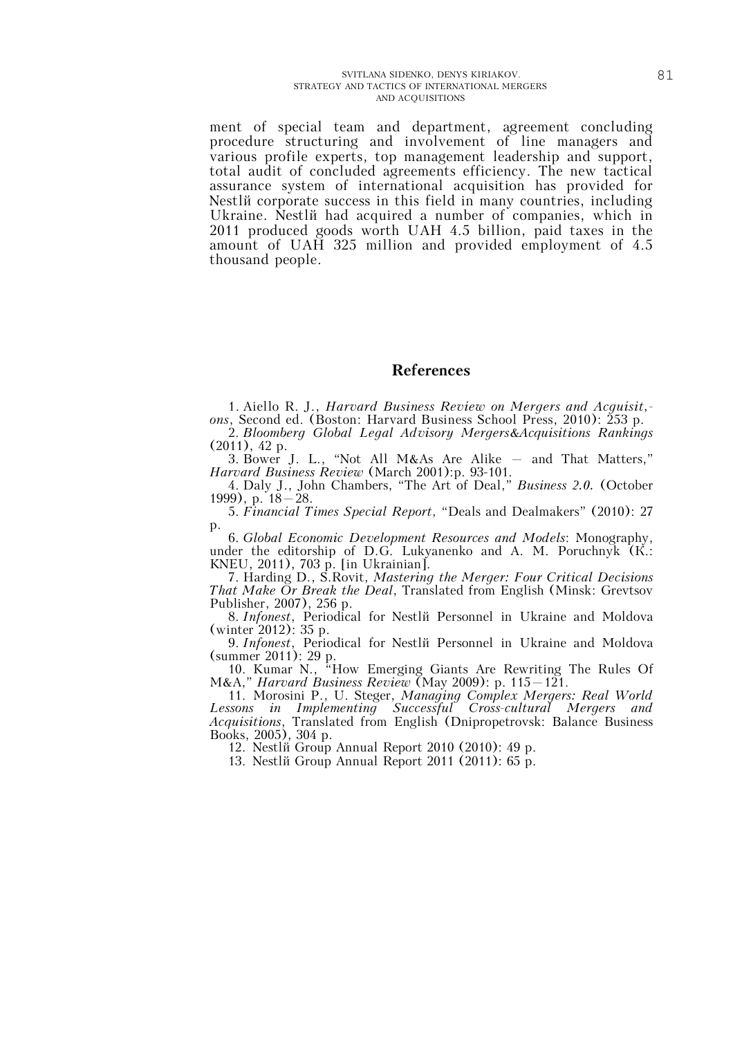ment of special team and department, agreement concluding procedure structuring and involvement of line managers and various profile experts, top management leadership and support, total audit of concluded agreements efficiency. The new tactical assurance system of international acquisition has provided for Nestlum corporate success in this field in many countries, including Ukraine. Nestlé had acquired a number of companies, which in 2011 produced goods worth UAH 4.5 billion, paid taxes in the amount of UAH 325 million and provided employment of 4.5 thousand people.

## **References**

1. Aiello R. J., *Harvard Business Review on Mergers and Acguisit, ons*, Second ed. (Boston: Harvard Business School Press, 2010): 253 p.

2. *Bloomberg Global Legal Advisory Mergers&Acquisitions Rankings* (2011), 42 p.

3. Bower J. L., "Not All M&As Are Alike — and That Matters," *Harvard Business Review* (March 2001):p. 93-101.

4. Daly J., John Chambers, "The Art of Deal," *Business 2.0.* (October 1999), p. 18—28.

5. *Financial Times Special Report*, "Deals and Dealmakers" (2010): 27 p.

6. *Global Economic Development Resources and Models*: Monography, under the editorship of D.G. Lukyanenko and A. M. Poruchnyk (К.: KNEU, 2011), 703 p. [in Ukrainian].

7. Harding D., S.Rovit, *Mastering the Merger: Four Critical Decisions That Make Or Break the Deal*, Translated from English (Minsk: Grevtsov Publisher, 2007), 256 p.

8. *Infonest*, Periodical for Nestlé Personnel in Ukraine and Moldova (winter 2012): 35 p.

9. *Infonest*, Periodical for Nestlé Personnel in Ukraine and Moldova (summer 2011): 29 p.

10. Kumar N., "How Emerging Giants Are Rewriting The Rules Of M&A," *Harvard Business Review* (May 2009): p. 115—121.

11. Morosini P., U. Steger, *Managing Complex Mergers: Real World Lessons in Implementing Successful Cross-cultural Mergers and Acquisitions*, Translated from English (Dnipropetrovsk: Balance Business Books, 2005), 304 p.

12. Nestlé Group Annual Report 2010 (2010): 49 p.

13. Nestlé Group Annual Report 2011 (2011): 65 p.